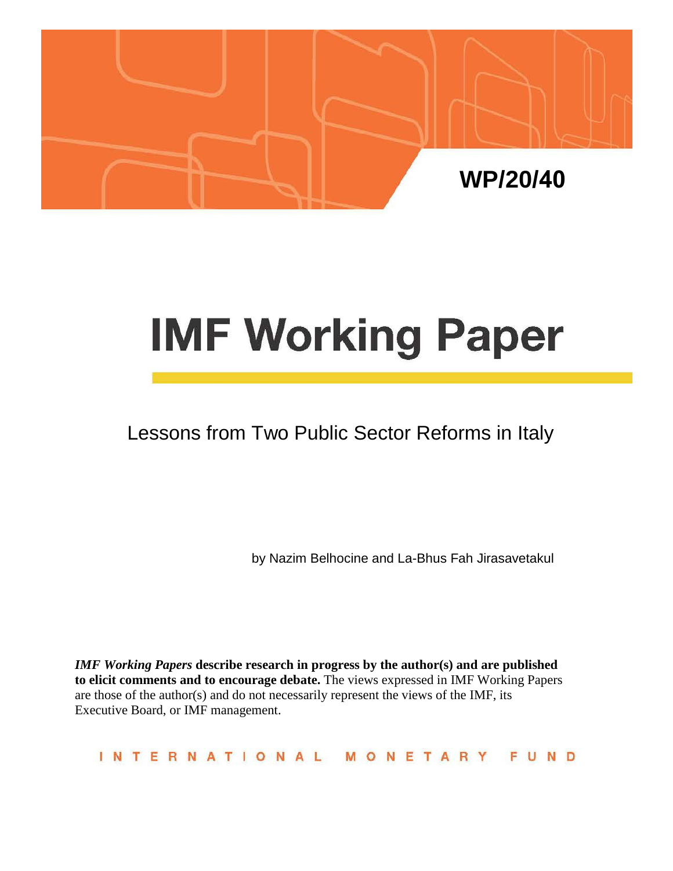

# **IMF Working Paper**

# Lessons from Two Public Sector Reforms in Italy

by Nazim Belhocine and La-Bhus Fah Jirasavetakul

*IMF Working Papers* **describe research in progress by the author(s) and are published to elicit comments and to encourage debate.** The views expressed in IMF Working Papers are those of the author(s) and do not necessarily represent the views of the IMF, its Executive Board, or IMF management.

**INTERNATIONAL** MONETARY FUND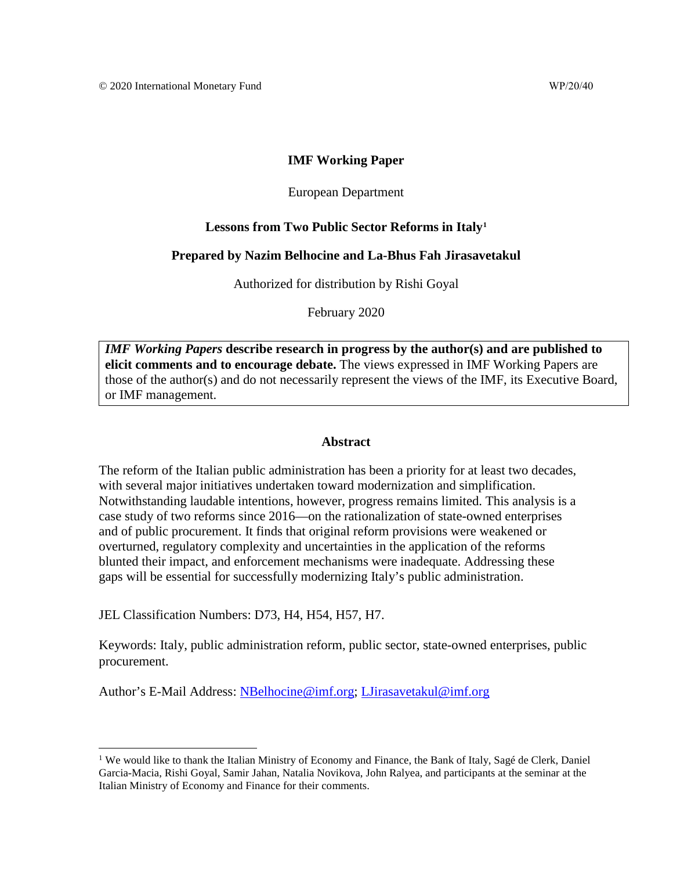#### **IMF Working Paper**

#### European Department

#### **Lessons from Two Public Sector Reforms in Italy[1](#page-1-0)**

#### **Prepared by Nazim Belhocine and La-Bhus Fah Jirasavetakul**

Authorized for distribution by Rishi Goyal

February 2020

*IMF Working Papers* **describe research in progress by the author(s) and are published to elicit comments and to encourage debate.** The views expressed in IMF Working Papers are those of the author(s) and do not necessarily represent the views of the IMF, its Executive Board, or IMF management.

#### **Abstract**

The reform of the Italian public administration has been a priority for at least two decades, with several major initiatives undertaken toward modernization and simplification. Notwithstanding laudable intentions, however, progress remains limited. This analysis is a case study of two reforms since 2016—on the rationalization of state-owned enterprises and of public procurement. It finds that original reform provisions were weakened or overturned, regulatory complexity and uncertainties in the application of the reforms blunted their impact, and enforcement mechanisms were inadequate. Addressing these gaps will be essential for successfully modernizing Italy's public administration.

JEL Classification Numbers: D73, H4, H54, H57, H7.

Keywords: Italy, public administration reform, public sector, state-owned enterprises, public procurement.

Author's E-Mail Address: [NBelhocine@imf.org;](mailto:nbelhocine@imf.org) [LJirasavetakul@imf.org](mailto:LJirasavetakul@imf.org)

<span id="page-1-0"></span><sup>&</sup>lt;sup>1</sup> We would like to thank the Italian Ministry of Economy and Finance, the Bank of Italy, Sagé de Clerk, Daniel Garcia-Macia, Rishi Goyal, Samir Jahan, Natalia Novikova, John Ralyea, and participants at the seminar at the Italian Ministry of Economy and Finance for their comments.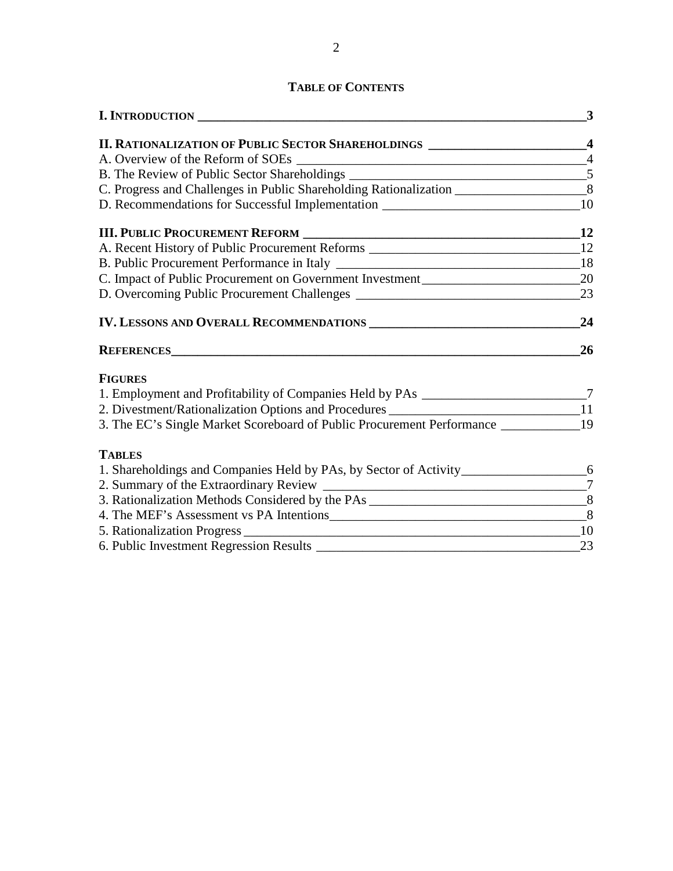# **TABLE OF CONTENTS**

| I. INTRODUCTION                                                                              | 3              |
|----------------------------------------------------------------------------------------------|----------------|
| II. RATIONALIZATION OF PUBLIC SECTOR SHAREHOLDINGS _________________________4                |                |
| A. Overview of the Reform of SOEs                                                            | $\overline{4}$ |
|                                                                                              |                |
| C. Progress and Challenges in Public Shareholding Rationalization _________________________8 |                |
| D. Recommendations for Successful Implementation _______________________________10           |                |
|                                                                                              |                |
| A. Recent History of Public Procurement Reforms _________________________________12          |                |
|                                                                                              |                |
|                                                                                              |                |
|                                                                                              |                |
|                                                                                              | 24             |
|                                                                                              | 26             |
| <b>FIGURES</b>                                                                               |                |
| 1. Employment and Profitability of Companies Held by PAs ________________________7           |                |
| 2. Divestment/Rationalization Options and Procedures ___________________________11           |                |
|                                                                                              |                |
| <b>TABLES</b>                                                                                |                |
| 1. Shareholdings and Companies Held by PAs, by Sector of Activity________________________6   |                |
|                                                                                              |                |
|                                                                                              |                |
|                                                                                              |                |
|                                                                                              |                |
|                                                                                              |                |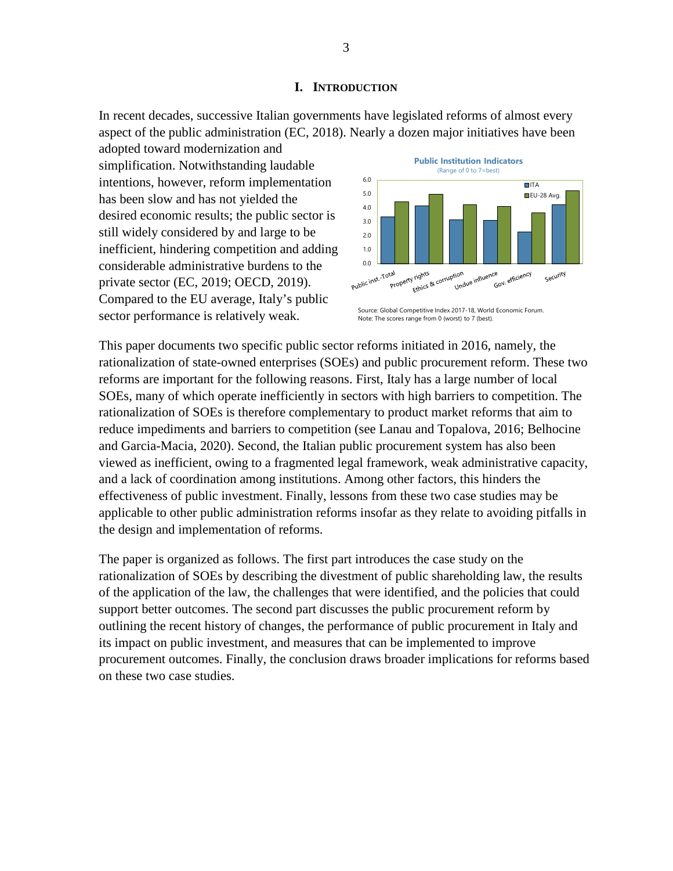#### **I. INTRODUCTION**

In recent decades, successive Italian governments have legislated reforms of almost every aspect of the public administration (EC, 2018). Nearly a dozen major initiatives have been

adopted toward modernization and simplification. Notwithstanding laudable intentions, however, reform implementation has been slow and has not yielded the desired economic results; the public sector is still widely considered by and large to be inefficient, hindering competition and adding considerable administrative burdens to the private sector (EC, 2019; OECD, 2019). Compared to the EU average, Italy's public sector performance is relatively weak.



Source: Global Competitive Index 2017-18, World Economic Forum. Note: The scores range from 0 (worst) to 7 (best).

This paper documents two specific public sector reforms initiated in 2016, namely, the rationalization of state-owned enterprises (SOEs) and public procurement reform. These two reforms are important for the following reasons. First, Italy has a large number of local SOEs, many of which operate inefficiently in sectors with high barriers to competition. The rationalization of SOEs is therefore complementary to product market reforms that aim to reduce impediments and barriers to competition (see Lanau and Topalova, 2016; Belhocine and Garcia-Macia, 2020). Second, the Italian public procurement system has also been viewed as inefficient, owing to a fragmented legal framework, weak administrative capacity, and a lack of coordination among institutions. Among other factors, this hinders the effectiveness of public investment. Finally, lessons from these two case studies may be applicable to other public administration reforms insofar as they relate to avoiding pitfalls in the design and implementation of reforms.

The paper is organized as follows. The first part introduces the case study on the rationalization of SOEs by describing the divestment of public shareholding law, the results of the application of the law, the challenges that were identified, and the policies that could support better outcomes. The second part discusses the public procurement reform by outlining the recent history of changes, the performance of public procurement in Italy and its impact on public investment, and measures that can be implemented to improve procurement outcomes. Finally, the conclusion draws broader implications for reforms based on these two case studies.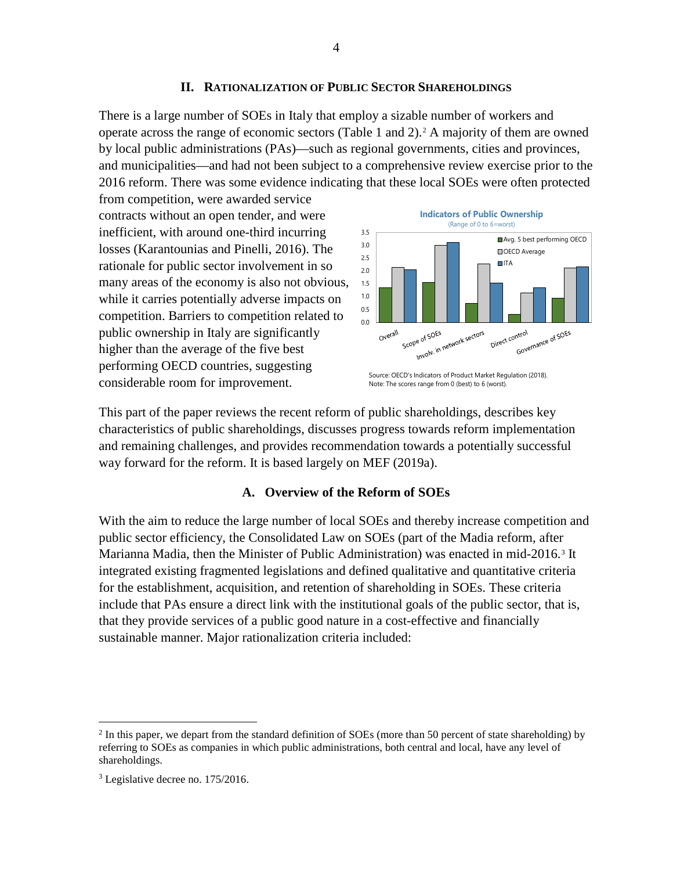There is a large number of SOEs in Italy that employ a sizable number of workers and operate across the range of economic sectors (Table 1 and 2).[2](#page-4-0) A majority of them are owned by local public administrations (PAs)—such as regional governments, cities and provinces, and municipalities—and had not been subject to a comprehensive review exercise prior to the 2016 reform. There was some evidence indicating that these local SOEs were often protected

from competition, were awarded service contracts without an open tender, and were inefficient, with around one-third incurring losses (Karantounias and Pinelli, 2016). The rationale for public sector involvement in so many areas of the economy is also not obvious, while it carries potentially adverse impacts on competition. Barriers to competition related to public ownership in Italy are significantly higher than the average of the five best performing OECD countries, suggesting considerable room for improvement.



Source: OECD's Indicators of Product Market Regulation (2018). Note: The scores range from 0 (best) to 6 (worst).

This part of the paper reviews the recent reform of public shareholdings, describes key characteristics of public shareholdings, discusses progress towards reform implementation and remaining challenges, and provides recommendation towards a potentially successful way forward for the reform. It is based largely on MEF (2019a).

# **A. Overview of the Reform of SOEs**

With the aim to reduce the large number of local SOEs and thereby increase competition and public sector efficiency, the Consolidated Law on SOEs (part of the Madia reform, after Marianna Madia, then the Minister of Public Administration) was enacted in mid-2016.[3](#page-4-1) It integrated existing fragmented legislations and defined qualitative and quantitative criteria for the establishment, acquisition, and retention of shareholding in SOEs. These criteria include that PAs ensure a direct link with the institutional goals of the public sector, that is, that they provide services of a public good nature in a cost-effective and financially sustainable manner. Major rationalization criteria included:

<span id="page-4-0"></span> $^2$  In this paper, we depart from the standard definition of SOEs (more than 50 percent of state shareholding) by referring to SOEs as companies in which public administrations, both central and local, have any level of shareholdings.

<span id="page-4-1"></span><sup>3</sup> Legislative decree no. 175/2016.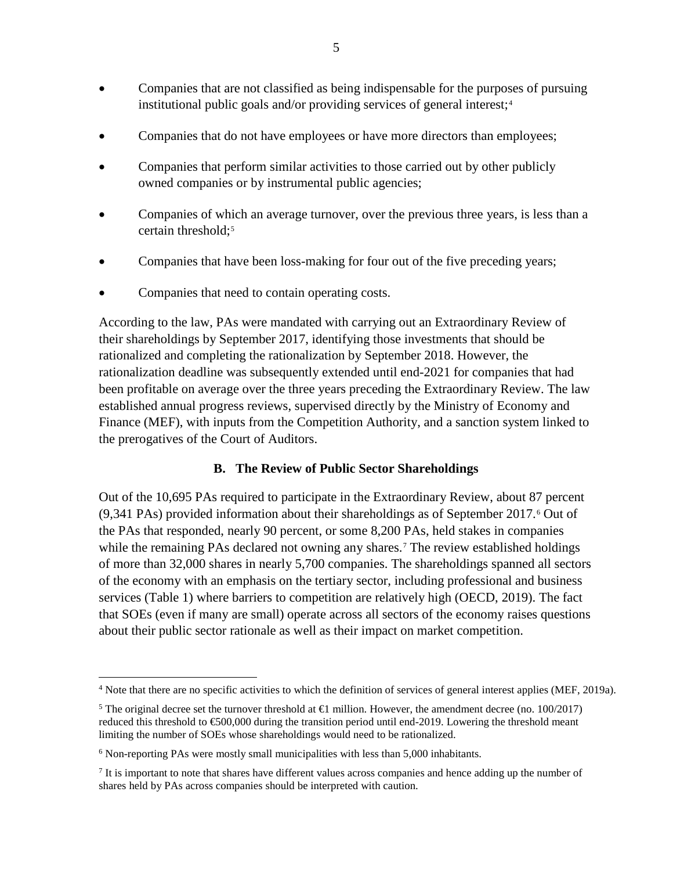- Companies that are not classified as being indispensable for the purposes of pursuing institutional public goals and/or providing services of general interest; $4$
- Companies that do not have employees or have more directors than employees;
- Companies that perform similar activities to those carried out by other publicly owned companies or by instrumental public agencies;
- Companies of which an average turnover, over the previous three years, is less than a certain threshold;<sup>[5](#page-5-1)</sup>
- Companies that have been loss-making for four out of the five preceding years;
- Companies that need to contain operating costs.

According to the law, PAs were mandated with carrying out an Extraordinary Review of their shareholdings by September 2017, identifying those investments that should be rationalized and completing the rationalization by September 2018. However, the rationalization deadline was subsequently extended until end-2021 for companies that had been profitable on average over the three years preceding the Extraordinary Review. The law established annual progress reviews, supervised directly by the Ministry of Economy and Finance (MEF), with inputs from the Competition Authority, and a sanction system linked to the prerogatives of the Court of Auditors.

## **B. The Review of Public Sector Shareholdings**

Out of the 10,695 PAs required to participate in the Extraordinary Review, about 87 percent (9,341 PAs) provided information about their shareholdings as of September 2017.[6](#page-5-2) Out of the PAs that responded, nearly 90 percent, or some 8,200 PAs, held stakes in companies while the remaining PAs declared not owning any shares.<sup>[7](#page-5-3)</sup> The review established holdings of more than 32,000 shares in nearly 5,700 companies. The shareholdings spanned all sectors of the economy with an emphasis on the tertiary sector, including professional and business services (Table 1) where barriers to competition are relatively high (OECD, 2019). The fact that SOEs (even if many are small) operate across all sectors of the economy raises questions about their public sector rationale as well as their impact on market competition.

<span id="page-5-0"></span><sup>&</sup>lt;sup>4</sup> Note that there are no specific activities to which the definition of services of general interest applies (MEF, 2019a).

<span id="page-5-1"></span><sup>&</sup>lt;sup>5</sup> The original decree set the turnover threshold at  $\bigoplus$  million. However, the amendment decree (no. 100/2017) reduced this threshold to €500,000 during the transition period until end-2019. Lowering the threshold meant limiting the number of SOEs whose shareholdings would need to be rationalized.

<span id="page-5-2"></span> $6$  Non-reporting PAs were mostly small municipalities with less than  $5,000$  inhabitants.

<span id="page-5-3"></span><sup>&</sup>lt;sup>7</sup> It is important to note that shares have different values across companies and hence adding up the number of shares held by PAs across companies should be interpreted with caution.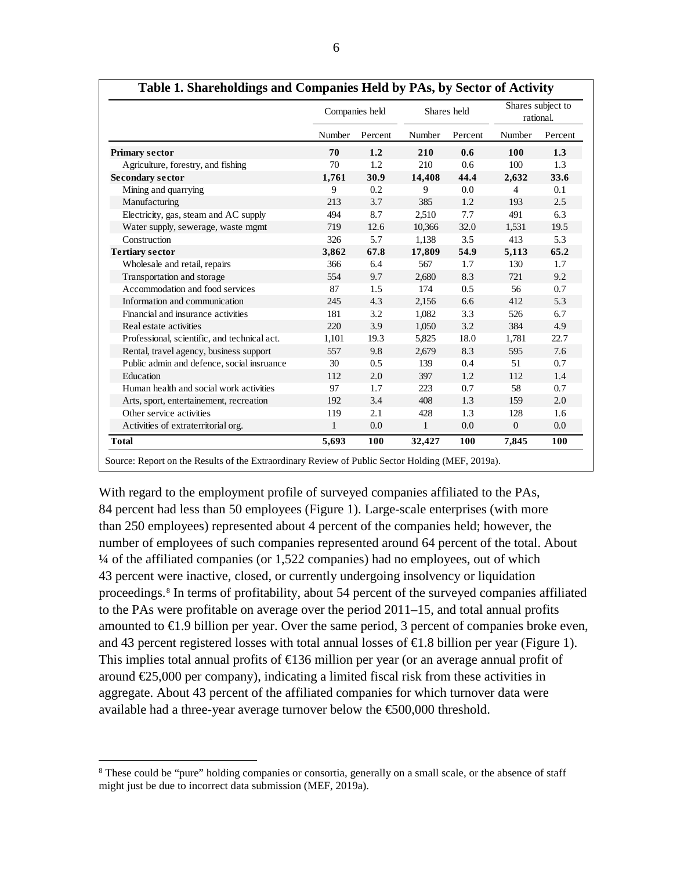|                                              |        | Companies held | Shares held  |            |                | Shares subject to<br>rational. |
|----------------------------------------------|--------|----------------|--------------|------------|----------------|--------------------------------|
|                                              | Number | Percent        | Number       | Percent    | Number         | Percent                        |
| <b>Primary sector</b>                        | 70     | 1.2            | 210          | 0.6        | 100            | 1.3                            |
| Agriculture, forestry, and fishing           | 70     | 1.2            | 210          | 0.6        | 100            | 1.3                            |
| <b>Secondary sector</b>                      | 1,761  | 30.9           | 14,408       | 44.4       | 2,632          | 33.6                           |
| Mining and quarrying                         | 9      | 0.2            | 9            | 0.0        | $\overline{4}$ | 0.1                            |
| Manufacturing                                | 213    | 3.7            | 385          | 1.2        | 193            | 2.5                            |
| Electricity, gas, steam and AC supply        | 494    | 8.7            | 2,510        | 7.7        | 491            | 6.3                            |
| Water supply, sewerage, waste mgmt           | 719    | 12.6           | 10,366       | 32.0       | 1,531          | 19.5                           |
| Construction                                 | 326    | 5.7            | 1,138        | 3.5        | 413            | 5.3                            |
| <b>Tertiary sector</b>                       | 3,862  | 67.8           | 17,809       | 54.9       | 5,113          | 65.2                           |
| Wholesale and retail, repairs                | 366    | 6.4            | 567          | 1.7        | 130            | 1.7                            |
| Transportation and storage                   | 554    | 9.7            | 2,680        | 8.3        | 721            | 9.2                            |
| Accommodation and food services              | 87     | 1.5            | 174          | 0.5        | 56             | 0.7                            |
| Information and communication                | 245    | 4.3            | 2,156        | 6.6        | 412            | 5.3                            |
| Financial and insurance activities           | 181    | 3.2            | 1,082        | 3.3        | 526            | 6.7                            |
| Real estate activities                       | 220    | 3.9            | 1,050        | 3.2        | 384            | 4.9                            |
| Professional, scientific, and technical act. | 1,101  | 19.3           | 5,825        | 18.0       | 1,781          | 22.7                           |
| Rental, travel agency, business support      | 557    | 9.8            | 2,679        | 8.3        | 595            | 7.6                            |
| Public admin and defence, social insruance   | 30     | 0.5            | 139          | 0.4        | 51             | 0.7                            |
| Education                                    | 112    | 2.0            | 397          | 1.2        | 112            | 1.4                            |
| Human health and social work activities      | 97     | 1.7            | 223          | 0.7        | 58             | 0.7                            |
| Arts, sport, entertainement, recreation      | 192    | 3.4            | 408          | 1.3        | 159            | 2.0                            |
| Other service activities                     | 119    | 2.1            | 428          | 1.3        | 128            | 1.6                            |
| Activities of extraterritorial org.          | 1      | 0.0            | $\mathbf{1}$ | 0.0        | $\mathbf{0}$   | 0.0                            |
| <b>Total</b>                                 | 5,693  | 100            | 32,427       | <b>100</b> | 7,845          | 100                            |

| Table 1. Shareholdings and Companies Held by PAs, by Sector of Activity |  |  |
|-------------------------------------------------------------------------|--|--|
|                                                                         |  |  |

With regard to the employment profile of surveyed companies affiliated to the PAs, 84 percent had less than 50 employees (Figure 1). Large-scale enterprises (with more than 250 employees) represented about 4 percent of the companies held; however, the number of employees of such companies represented around 64 percent of the total. About ¼ of the affiliated companies (or 1,522 companies) had no employees, out of which 43 percent were inactive, closed, or currently undergoing insolvency or liquidation proceedings.<sup>[8](#page-6-0)</sup> In terms of profitability, about 54 percent of the surveyed companies affiliated to the PAs were profitable on average over the period 2011–15, and total annual profits

amounted to  $\in$ 1.9 billion per year. Over the same period, 3 percent of companies broke even, and 43 percent registered losses with total annual losses of  $\epsilon$ 1.8 billion per year (Figure 1). This implies total annual profits of  $\triangleleft$  36 million per year (or an average annual profit of around  $E$ 5,000 per company), indicating a limited fiscal risk from these activities in aggregate. About 43 percent of the affiliated companies for which turnover data were available had a three-year average turnover below the  $\epsilon$ 600,000 threshold.

<span id="page-6-0"></span><sup>&</sup>lt;sup>8</sup> These could be "pure" holding companies or consortia, generally on a small scale, or the absence of staff might just be due to incorrect data submission (MEF, 2019a).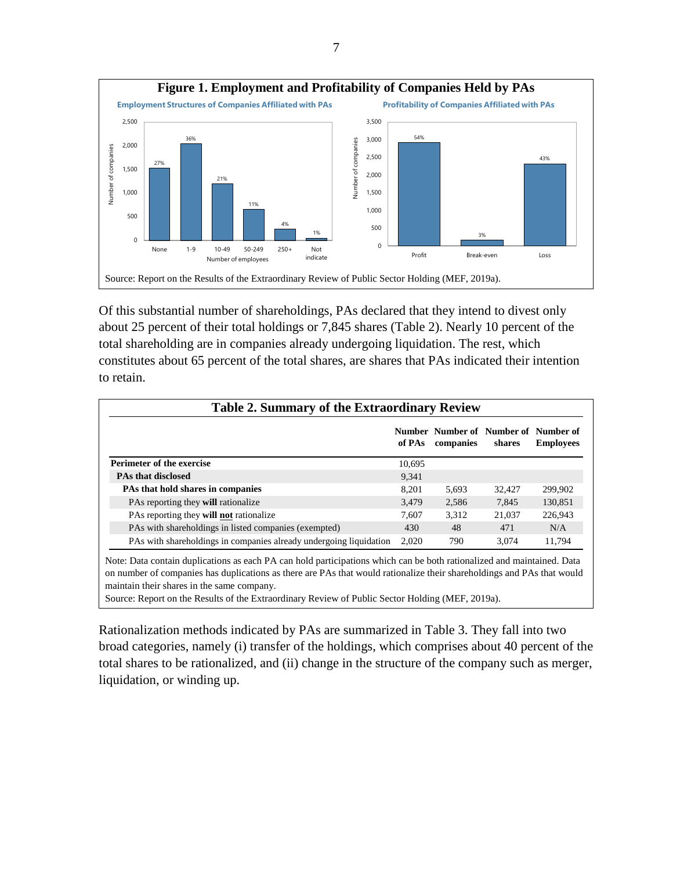

Of this substantial number of shareholdings, PAs declared that they intend to divest only about 25 percent of their total holdings or 7,845 shares (Table 2). Nearly 10 percent of the total shareholding are in companies already undergoing liquidation. The rest, which constitutes about 65 percent of the total shares, are shares that PAs indicated their intention to retain.

| <b>Table 2. Summary of the Extraordinary Review</b>                |        |                                                   |        |                  |  |
|--------------------------------------------------------------------|--------|---------------------------------------------------|--------|------------------|--|
|                                                                    | of PAs | Number Number of Number of Number of<br>companies | shares | <b>Employees</b> |  |
| <b>Perimeter of the exercise</b>                                   | 10.695 |                                                   |        |                  |  |
| <b>PAs that disclosed</b>                                          | 9.341  |                                                   |        |                  |  |
| <b>PAs that hold shares in companies</b>                           | 8.201  | 5.693                                             | 32.427 | 299,902          |  |
| PAs reporting they will rationalize                                | 3.479  | 2.586                                             | 7.845  | 130.851          |  |
| PAs reporting they will not rationalize                            | 7.607  | 3.312                                             | 21,037 | 226,943          |  |
| PAs with shareholdings in listed companies (exempted)              | 430    | 48                                                | 471    | N/A              |  |
| PAs with shareholdings in companies already undergoing liquidation | 2.020  | 790                                               | 3.074  | 11.794           |  |

Note: Data contain duplications as each PA can hold participations which can be both rationalized and maintained. Data on number of companies has duplications as there are PAs that would rationalize their shareholdings and PAs that would maintain their shares in the same company.

Source: Report on the Results of the Extraordinary Review of Public Sector Holding (MEF, 2019a).

Rationalization methods indicated by PAs are summarized in Table 3. They fall into two broad categories, namely (i) transfer of the holdings, which comprises about 40 percent of the total shares to be rationalized, and (ii) change in the structure of the company such as merger, liquidation, or winding up.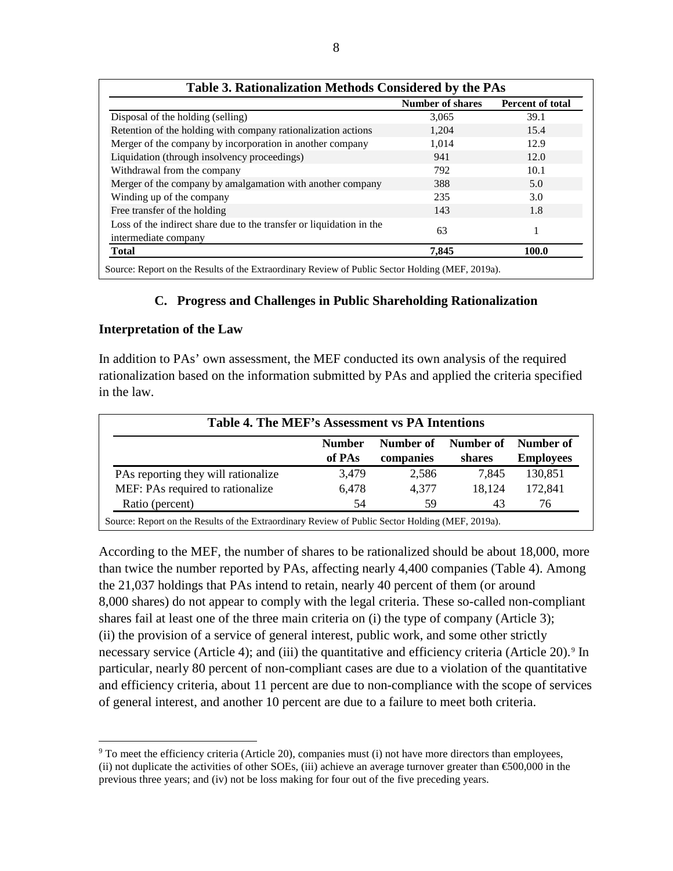|                                                                                              | <b>Number of shares</b> | Percent of total |
|----------------------------------------------------------------------------------------------|-------------------------|------------------|
| Disposal of the holding (selling)                                                            | 3,065                   | 39.1             |
| Retention of the holding with company rationalization actions                                | 1,204                   | 15.4             |
| Merger of the company by incorporation in another company                                    | 1,014                   | 12.9             |
| Liquidation (through insolvency proceedings)                                                 | 941                     | 12.0             |
| Withdrawal from the company                                                                  | 792                     | 10.1             |
| Merger of the company by amalgamation with another company                                   | 388                     | 5.0              |
| Winding up of the company                                                                    | 235                     | 3.0              |
| Free transfer of the holding                                                                 | 143                     | 1.8              |
| Loss of the indirect share due to the transfer or liquidation in the<br>intermediate company | 63                      |                  |
| <b>Total</b>                                                                                 | 7,845                   | 100.0            |

#### **C. Progress and Challenges in Public Shareholding Rationalization**

#### **Interpretation of the Law**

In addition to PAs' own assessment, the MEF conducted its own analysis of the required rationalization based on the information submitted by PAs and applied the criteria specified in the law.

| Table 4. The MEF's Assessment vs PA Intentions |                         |                        |                     |                               |  |  |  |
|------------------------------------------------|-------------------------|------------------------|---------------------|-------------------------------|--|--|--|
|                                                | <b>Number</b><br>of PAs | Number of<br>companies | Number of<br>shares | Number of<br><b>Employees</b> |  |  |  |
| PAs reporting they will rationalize            | 3,479                   | 2,586                  | 7.845               | 130,851                       |  |  |  |
| MEF: PAs required to rationalize               | 6,478                   | 4.377                  | 18.124              | 172,841                       |  |  |  |
| Ratio (percent)                                | 54                      | 59                     | 43                  | 76                            |  |  |  |

Source: Report on the Results of the Extraordinary Review of Public Sector Holding (MEF, 2019a).

According to the MEF, the number of shares to be rationalized should be about 18,000, more than twice the number reported by PAs, affecting nearly 4,400 companies (Table 4). Among the 21,037 holdings that PAs intend to retain, nearly 40 percent of them (or around 8,000 shares) do not appear to comply with the legal criteria. These so-called non-compliant shares fail at least one of the three main criteria on (i) the type of company (Article 3); (ii) the provision of a service of general interest, public work, and some other strictly necessary service (Article 4); and (iii) the quantitative and efficiency criteria (Article 20).<sup>[9](#page-9-0)</sup> In particular, nearly 80 percent of non-compliant cases are due to a violation of the quantitative and efficiency criteria, about 11 percent are due to non-compliance with the scope of services of general interest, and another 10 percent are due to a failure to meet both criteria.

 $9$  To meet the efficiency criteria (Article 20), companies must (i) not have more directors than employees, (ii) not duplicate the activities of other SOEs, (iii) achieve an average turnover greater than  $\epsilon$ 500,000 in the previous three years; and (iv) not be loss making for four out of the five preceding years.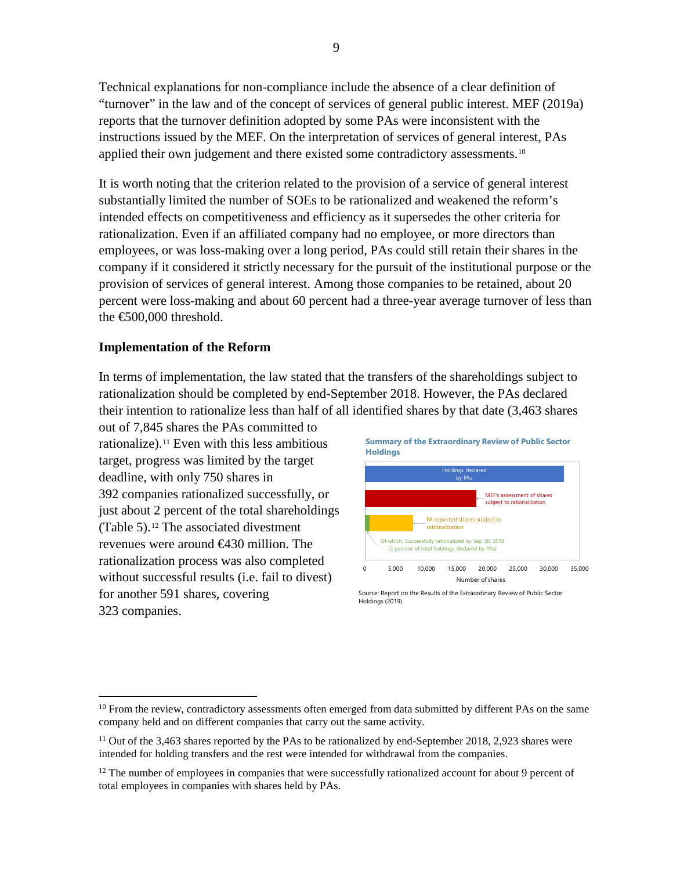Technical explanations for non-compliance include the absence of a clear definition of "turnover" in the law and of the concept of services of general public interest. MEF (2019a) reports that the turnover definition adopted by some PAs were inconsistent with the instructions issued by the MEF. On the interpretation of services of general interest, PAs applied their own judgement and there existed some contradictory assessments.<sup>[10](#page-10-0)</sup>

It is worth noting that the criterion related to the provision of a service of general interest substantially limited the number of SOEs to be rationalized and weakened the reform's intended effects on competitiveness and efficiency as it supersedes the other criteria for rationalization. Even if an affiliated company had no employee, or more directors than employees, or was loss-making over a long period, PAs could still retain their shares in the company if it considered it strictly necessary for the pursuit of the institutional purpose or the provision of services of general interest. Among those companies to be retained, about 20 percent were loss-making and about 60 percent had a three-year average turnover of less than the €500,000 threshold.

#### **Implementation of the Reform**

In terms of implementation, the law stated that the transfers of the shareholdings subject to rationalization should be completed by end-September 2018. However, the PAs declared their intention to rationalize less than half of all identified shares by that date (3,463 shares

out of 7,845 shares the PAs committed to rationalize).<sup>[11](#page-10-1)</sup> Even with this less ambitious target, progress was limited by the target deadline, with only 750 shares in 392 companies rationalized successfully, or just about 2 percent of the total shareholdings (Table 5).[12](#page-10-2) The associated divestment revenues were around €430 million. The rationalization process was also completed without successful results (i.e. fail to divest) for another 591 shares, covering 323 companies.



Source: Report on the Results of the Extraordinary Review of Public Sector Holdings (2019).

<sup>&</sup>lt;sup>10</sup> From the review, contradictory assessments often emerged from data submitted by different PAs on the same company held and on different companies that carry out the same activity.

<span id="page-9-0"></span> $11$  Out of the 3,463 shares reported by the PAs to be rationalized by end-September 2018, 2,923 shares were intended for holding transfers and the rest were intended for withdrawal from the companies.

 $12$  The number of employees in companies that were successfully rationalized account for about 9 percent of total employees in companies with shares held by PAs.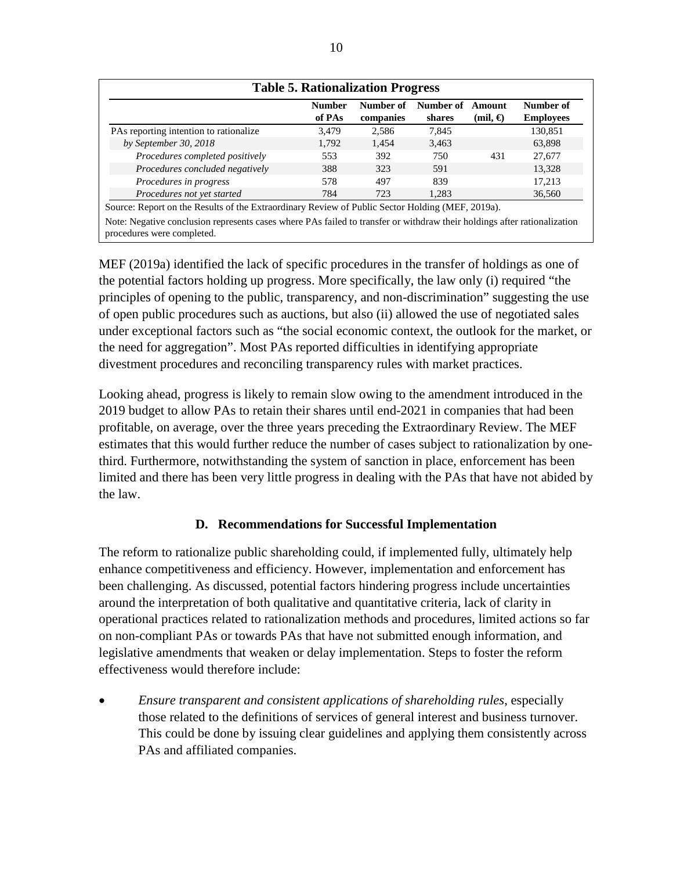|                                                                                                  | <b>Number</b> | Number of | Number of | Amount            | Number of        |
|--------------------------------------------------------------------------------------------------|---------------|-----------|-----------|-------------------|------------------|
|                                                                                                  | of PAs        | companies | shares    | $(mil, \bigoplus$ | <b>Employees</b> |
| PAs reporting intention to rationalize                                                           | 3,479         | 2.586     | 7.845     |                   | 130,851          |
| by September 30, 2018                                                                            | 1.792         | 1.454     | 3,463     |                   | 63.898           |
| Procedures completed positively                                                                  | 553           | 392       | 750       | 431               | 27,677           |
| Procedures concluded negatively                                                                  | 388           | 323       | 591       |                   | 13,328           |
| Procedures in progress                                                                           | 578           | 497       | 839       |                   | 17,213           |
| Procedures not yet started                                                                       | 784           | 723       | 1,283     |                   | 36,560           |
| Source: Report on the Results of the Extraordinary Review of Public Sector Holding (MEF, 2019a). |               |           |           |                   |                  |

MEF (2019a) identified the lack of specific procedures in the transfer of holdings as one of the potential factors holding up progress. More specifically, the law only (i) required "the principles of opening to the public, transparency, and non-discrimination" suggesting the use of open public procedures such as auctions, but also (ii) allowed the use of negotiated sales under exceptional factors such as "the social economic context, the outlook for the market, or the need for aggregation". Most PAs reported difficulties in identifying appropriate divestment procedures and reconciling transparency rules with market practices.

Looking ahead, progress is likely to remain slow owing to the amendment introduced in the 2019 budget to allow PAs to retain their shares until end-2021 in companies that had been profitable, on average, over the three years preceding the Extraordinary Review. The MEF estimates that this would further reduce the number of cases subject to rationalization by onethird. Furthermore, notwithstanding the system of sanction in place, enforcement has been limited and there has been very little progress in dealing with the PAs that have not abided by the law.

# **D. Recommendations for Successful Implementation**

The reform to rationalize public shareholding could, if implemented fully, ultimately help enhance competitiveness and efficiency. However, implementation and enforcement has been challenging. As discussed, potential factors hindering progress include uncertainties around the interpretation of both qualitative and quantitative criteria, lack of clarity in operational practices related to rationalization methods and procedures, limited actions so far on non-compliant PAs or towards PAs that have not submitted enough information, and legislative amendments that weaken or delay implementation. Steps to foster the reform effectiveness would therefore include:

<span id="page-10-2"></span><span id="page-10-1"></span><span id="page-10-0"></span>• *Ensure transparent and consistent applications of shareholding rules*, especially those related to the definitions of services of general interest and business turnover. This could be done by issuing clear guidelines and applying them consistently across PAs and affiliated companies.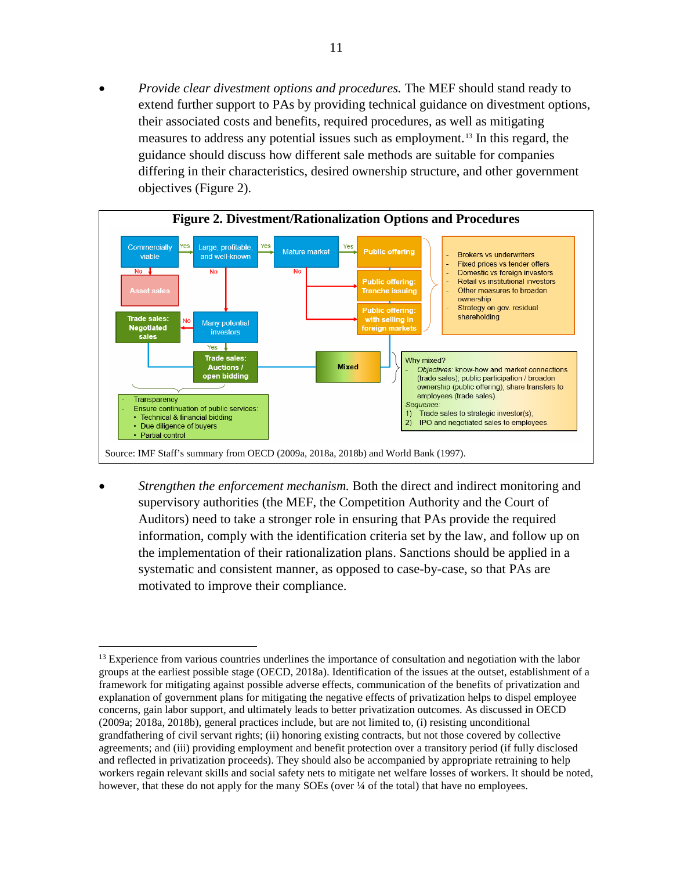• *Provide clear divestment options and procedures.* The MEF should stand ready to extend further support to PAs by providing technical guidance on divestment options, their associated costs and benefits, required procedures, as well as mitigating measures to address any potential issues such as employment.[13](#page-12-0) In this regard, the guidance should discuss how different sale methods are suitable for companies differing in their characteristics, desired ownership structure, and other government objectives (Figure 2).



• *Strengthen the enforcement mechanism.* Both the direct and indirect monitoring and supervisory authorities (the MEF, the Competition Authority and the Court of Auditors) need to take a stronger role in ensuring that PAs provide the required information, comply with the identification criteria set by the law, and follow up on the implementation of their rationalization plans. Sanctions should be applied in a systematic and consistent manner, as opposed to case-by-case, so that PAs are motivated to improve their compliance.

<sup>&</sup>lt;sup>13</sup> Experience from various countries underlines the importance of consultation and negotiation with the labor groups at the earliest possible stage (OECD, 2018a). Identification of the issues at the outset, establishment of a framework for mitigating against possible adverse effects, communication of the benefits of privatization and explanation of government plans for mitigating the negative effects of privatization helps to dispel employee concerns, gain labor support, and ultimately leads to better privatization outcomes. As discussed in OECD (2009a; 2018a, 2018b), general practices include, but are not limited to, (i) resisting unconditional grandfathering of civil servant rights; (ii) honoring existing contracts, but not those covered by collective agreements; and (iii) providing employment and benefit protection over a transitory period (if fully disclosed and reflected in privatization proceeds). They should also be accompanied by appropriate retraining to help workers regain relevant skills and social safety nets to mitigate net welfare losses of workers. It should be noted, however, that these do not apply for the many SOEs (over ¼ of the total) that have no employees.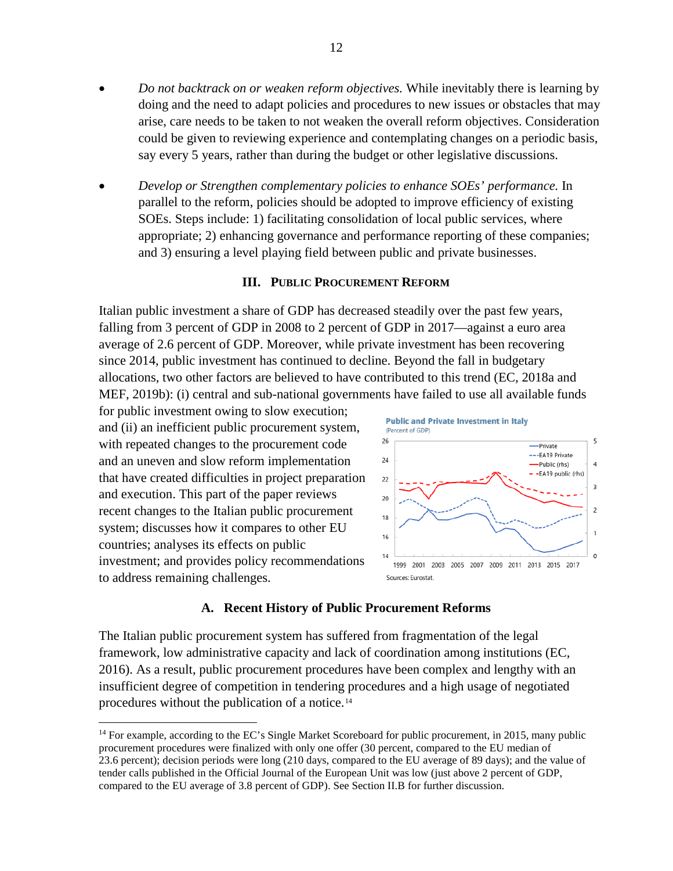- *Do not backtrack on or weaken reform objectives.* While inevitably there is learning by doing and the need to adapt policies and procedures to new issues or obstacles that may arise, care needs to be taken to not weaken the overall reform objectives. Consideration could be given to reviewing experience and contemplating changes on a periodic basis, say every 5 years, rather than during the budget or other legislative discussions.
- *Develop or Strengthen complementary policies to enhance SOEs' performance.* In parallel to the reform, policies should be adopted to improve efficiency of existing SOEs. Steps include: 1) facilitating consolidation of local public services, where appropriate; 2) enhancing governance and performance reporting of these companies; and 3) ensuring a level playing field between public and private businesses.

#### **III. PUBLIC PROCUREMENT REFORM**

Italian public investment a share of GDP has decreased steadily over the past few years, falling from 3 percent of GDP in 2008 to 2 percent of GDP in 2017—against a euro area average of 2.6 percent of GDP. Moreover, while private investment has been recovering since 2014, public investment has continued to decline. Beyond the fall in budgetary allocations, two other factors are believed to have contributed to this trend (EC, 2018a and MEF, 2019b): (i) central and sub-national governments have failed to use all available funds

for public investment owing to slow execution; and (ii) an inefficient public procurement system, with repeated changes to the procurement code and an uneven and slow reform implementation that have created difficulties in project preparation and execution. This part of the paper reviews recent changes to the Italian public procurement system; discusses how it compares to other EU countries; analyses its effects on public investment; and provides policy recommendations to address remaining challenges.



#### **A. Recent History of Public Procurement Reforms**

<span id="page-12-0"></span>The Italian public procurement system has suffered from fragmentation of the legal framework, low administrative capacity and lack of coordination among institutions (EC, 2016). As a result, public procurement procedures have been complex and lengthy with an insufficient degree of competition in tendering procedures and a high usage of negotiated procedures without the publication of a notice.[14](#page-13-0)

<sup>&</sup>lt;sup>14</sup> For example, according to the EC's Single Market Scoreboard for public procurement, in 2015, many public procurement procedures were finalized with only one offer (30 percent, compared to the EU median of 23.6 percent); decision periods were long (210 days, compared to the EU average of 89 days); and the value of tender calls published in the Official Journal of the European Unit was low (just above 2 percent of GDP, compared to the EU average of 3.8 percent of GDP). See Section II.B for further discussion.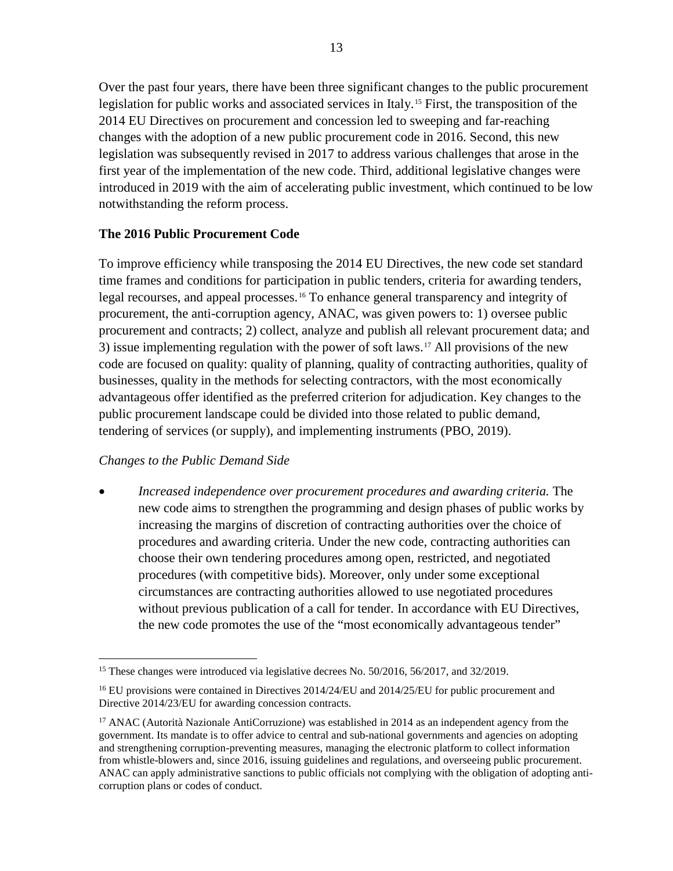Over the past four years, there have been three significant changes to the public procurement legislation for public works and associated services in Italy.[15](#page-14-0) First, the transposition of the 2014 EU Directives on procurement and concession led to sweeping and far-reaching changes with the adoption of a new public procurement code in 2016. Second, this new legislation was subsequently revised in 2017 to address various challenges that arose in the first year of the implementation of the new code. Third, additional legislative changes were introduced in 2019 with the aim of accelerating public investment, which continued to be low notwithstanding the reform process.

# **The 2016 Public Procurement Code**

To improve efficiency while transposing the 2014 EU Directives, the new code set standard time frames and conditions for participation in public tenders, criteria for awarding tenders, legal recourses, and appeal processes.[16](#page-14-1) To enhance general transparency and integrity of procurement, the anti-corruption agency, ANAC, was given powers to: 1) oversee public procurement and contracts; 2) collect, analyze and publish all relevant procurement data; and 3) issue implementing regulation with the power of soft laws.[17](#page-14-2) All provisions of the new code are focused on quality: quality of planning, quality of contracting authorities, quality of businesses, quality in the methods for selecting contractors, with the most economically advantageous offer identified as the preferred criterion for adjudication. Key changes to the public procurement landscape could be divided into those related to public demand, tendering of services (or supply), and implementing instruments (PBO, 2019).

# *Changes to the Public Demand Side*

• *Increased independence over procurement procedures and awarding criteria.* The new code aims to strengthen the programming and design phases of public works by increasing the margins of discretion of contracting authorities over the choice of procedures and awarding criteria. Under the new code, contracting authorities can choose their own tendering procedures among open, restricted, and negotiated procedures (with competitive bids). Moreover, only under some exceptional circumstances are contracting authorities allowed to use negotiated procedures without previous publication of a call for tender. In accordance with EU Directives, the new code promotes the use of the "most economically advantageous tender"

<sup>&</sup>lt;sup>15</sup> These changes were introduced via legislative decrees No. 50/2016, 56/2017, and 32/2019.

<sup>&</sup>lt;sup>16</sup> EU provisions were contained in Directives 2014/24/EU and 2014/25/EU for public procurement and Directive 2014/23/EU for awarding concession contracts.

<span id="page-13-0"></span><sup>&</sup>lt;sup>17</sup> ANAC (Autorità Nazionale AntiCorruzione) was established in 2014 as an independent agency from the government. Its mandate is to offer advice to central and sub-national governments and agencies on adopting and strengthening corruption-preventing measures, managing the electronic platform to collect information from whistle-blowers and, since 2016, issuing guidelines and regulations, and overseeing public procurement. ANAC can apply administrative sanctions to public officials not complying with the obligation of adopting anticorruption plans or codes of conduct.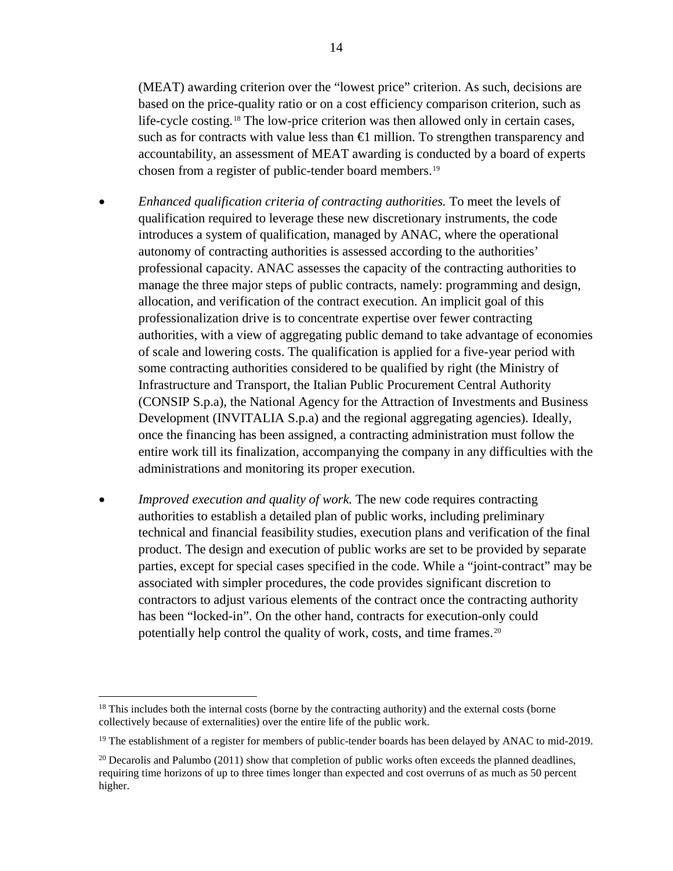(MEAT) awarding criterion over the "lowest price" criterion. As such, decisions are based on the price-quality ratio or on a cost efficiency comparison criterion, such as life-cycle costing.[18](#page-15-0) The low-price criterion was then allowed only in certain cases, such as for contracts with value less than  $\bigoplus$  million. To strengthen transparency and accountability, an assessment of MEAT awarding is conducted by a board of experts chosen from a register of public-tender board members.[19](#page-15-1)

- *Enhanced qualification criteria of contracting authorities.* To meet the levels of qualification required to leverage these new discretionary instruments, the code introduces a system of qualification, managed by ANAC, where the operational autonomy of contracting authorities is assessed according to the authorities' professional capacity. ANAC assesses the capacity of the contracting authorities to manage the three major steps of public contracts, namely: programming and design, allocation, and verification of the contract execution. An implicit goal of this professionalization drive is to concentrate expertise over fewer contracting authorities, with a view of aggregating public demand to take advantage of economies of scale and lowering costs. The qualification is applied for a five-year period with some contracting authorities considered to be qualified by right (the Ministry of Infrastructure and Transport, the Italian Public Procurement Central Authority (CONSIP S.p.a), the National Agency for the Attraction of Investments and Business Development (INVITALIA S.p.a) and the regional aggregating agencies). Ideally, once the financing has been assigned, a contracting administration must follow the entire work till its finalization, accompanying the company in any difficulties with the administrations and monitoring its proper execution.
- *Improved execution and quality of work*. The new code requires contracting authorities to establish a detailed plan of public works, including preliminary technical and financial feasibility studies, execution plans and verification of the final product. The design and execution of public works are set to be provided by separate parties, except for special cases specified in the code. While a "joint-contract" may be associated with simpler procedures, the code provides significant discretion to contractors to adjust various elements of the contract once the contracting authority has been "locked-in". On the other hand, contracts for execution-only could potentially help control the quality of work, costs, and time frames.[20](#page-15-2)

<span id="page-14-2"></span><span id="page-14-1"></span><span id="page-14-0"></span><sup>&</sup>lt;sup>18</sup> This includes both the internal costs (borne by the contracting authority) and the external costs (borne collectively because of externalities) over the entire life of the public work.

 $19$  The establishment of a register for members of public-tender boards has been delayed by ANAC to mid-2019.

<sup>&</sup>lt;sup>20</sup> Decarolis and Palumbo (2011) show that completion of public works often exceeds the planned deadlines, requiring time horizons of up to three times longer than expected and cost overruns of as much as 50 percent higher.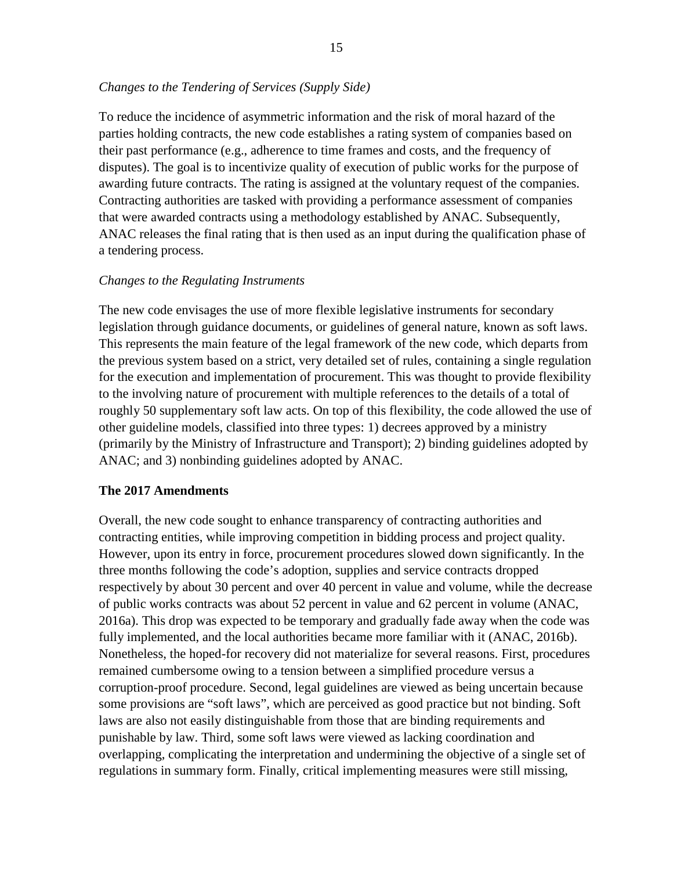# *Changes to the Tendering of Services (Supply Side)*

To reduce the incidence of asymmetric information and the risk of moral hazard of the parties holding contracts, the new code establishes a rating system of companies based on their past performance (e.g., adherence to time frames and costs, and the frequency of disputes). The goal is to incentivize quality of execution of public works for the purpose of awarding future contracts. The rating is assigned at the voluntary request of the companies. Contracting authorities are tasked with providing a performance assessment of companies that were awarded contracts using a methodology established by ANAC. Subsequently, ANAC releases the final rating that is then used as an input during the qualification phase of a tendering process.

#### *Changes to the Regulating Instruments*

The new code envisages the use of more flexible legislative instruments for secondary legislation through guidance documents, or guidelines of general nature, known as soft laws. This represents the main feature of the legal framework of the new code, which departs from the previous system based on a strict, very detailed set of rules, containing a single regulation for the execution and implementation of procurement. This was thought to provide flexibility to the involving nature of procurement with multiple references to the details of a total of roughly 50 supplementary soft law acts. On top of this flexibility, the code allowed the use of other guideline models, classified into three types: 1) decrees approved by a ministry (primarily by the Ministry of Infrastructure and Transport); 2) binding guidelines adopted by ANAC; and 3) nonbinding guidelines adopted by ANAC.

#### **The 2017 Amendments**

<span id="page-15-2"></span><span id="page-15-1"></span><span id="page-15-0"></span>Overall, the new code sought to enhance transparency of contracting authorities and contracting entities, while improving competition in bidding process and project quality. However, upon its entry in force, procurement procedures slowed down significantly. In the three months following the code's adoption, supplies and service contracts dropped respectively by about 30 percent and over 40 percent in value and volume, while the decrease of public works contracts was about 52 percent in value and 62 percent in volume (ANAC, 2016a). This drop was expected to be temporary and gradually fade away when the code was fully implemented, and the local authorities became more familiar with it (ANAC, 2016b). Nonetheless, the hoped-for recovery did not materialize for several reasons. First, procedures remained cumbersome owing to a tension between a simplified procedure versus a corruption-proof procedure. Second, legal guidelines are viewed as being uncertain because some provisions are "soft laws", which are perceived as good practice but not binding. Soft laws are also not easily distinguishable from those that are binding requirements and punishable by law. Third, some soft laws were viewed as lacking coordination and overlapping, complicating the interpretation and undermining the objective of a single set of regulations in summary form. Finally, critical implementing measures were still missing,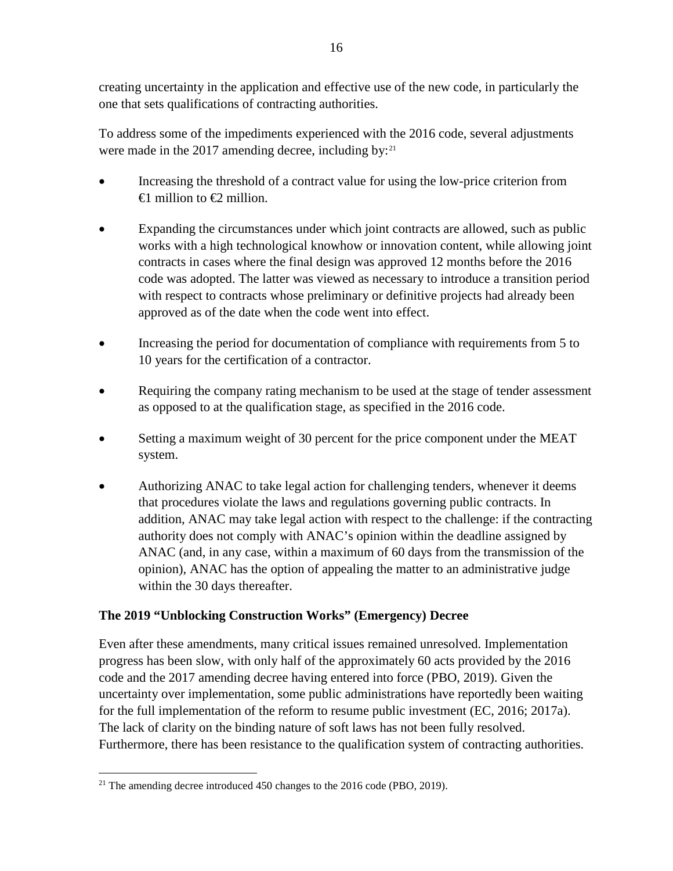creating uncertainty in the application and effective use of the new code, in particularly the one that sets qualifications of contracting authorities.

To address some of the impediments experienced with the 2016 code, several adjustments were made in the 2017 amending decree, including by: $2^{1}$ 

- Increasing the threshold of a contract value for using the low-price criterion from  $\oplus$  million to  $\oplus$  million.
- Expanding the circumstances under which joint contracts are allowed, such as public works with a high technological knowhow or innovation content, while allowing joint contracts in cases where the final design was approved 12 months before the 2016 code was adopted. The latter was viewed as necessary to introduce a transition period with respect to contracts whose preliminary or definitive projects had already been approved as of the date when the code went into effect.
- Increasing the period for documentation of compliance with requirements from 5 to 10 years for the certification of a contractor.
- Requiring the company rating mechanism to be used at the stage of tender assessment as opposed to at the qualification stage, as specified in the 2016 code.
- Setting a maximum weight of 30 percent for the price component under the MEAT system.
- Authorizing ANAC to take legal action for challenging tenders, whenever it deems that procedures violate the laws and regulations governing public contracts. In addition, ANAC may take legal action with respect to the challenge: if the contracting authority does not comply with ANAC's opinion within the deadline assigned by ANAC (and, in any case, within a maximum of 60 days from the transmission of the opinion), ANAC has the option of appealing the matter to an administrative judge within the 30 days thereafter.

# **The 2019 "Unblocking Construction Works" (Emergency) Decree**

Even after these amendments, many critical issues remained unresolved. Implementation progress has been slow, with only half of the approximately 60 acts provided by the 2016 code and the 2017 amending decree having entered into force (PBO, 2019). Given the uncertainty over implementation, some public administrations have reportedly been waiting for the full implementation of the reform to resume public investment (EC, 2016; 2017a). The lack of clarity on the binding nature of soft laws has not been fully resolved. Furthermore, there has been resistance to the qualification system of contracting authorities.

<sup>&</sup>lt;sup>21</sup> The amending decree introduced 450 changes to the  $2016$  code (PBO, 2019).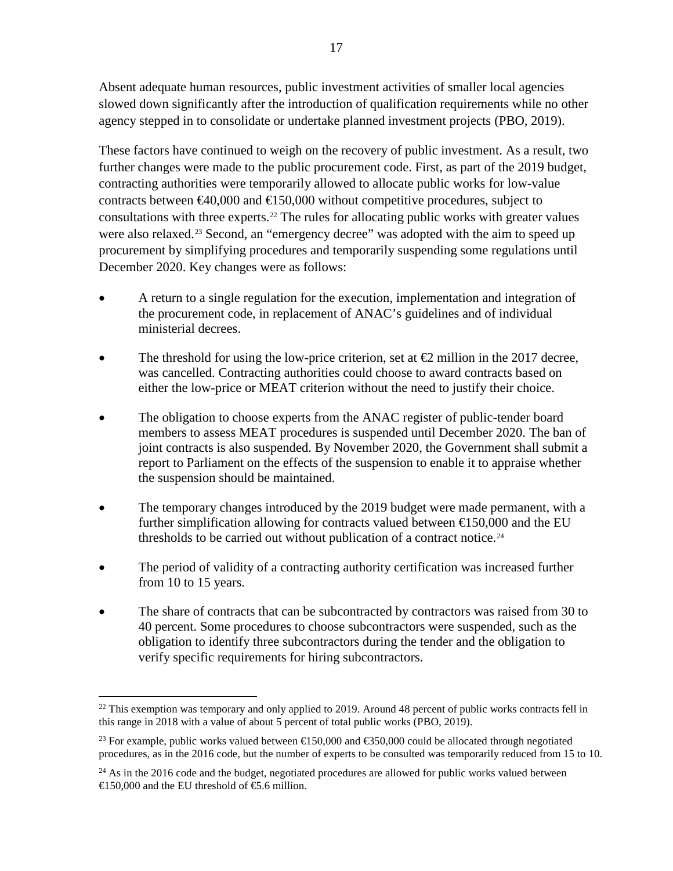Absent adequate human resources, public investment activities of smaller local agencies slowed down significantly after the introduction of qualification requirements while no other agency stepped in to consolidate or undertake planned investment projects (PBO, 2019).

These factors have continued to weigh on the recovery of public investment. As a result, two further changes were made to the public procurement code. First, as part of the 2019 budget, contracting authorities were temporarily allowed to allocate public works for low-value contracts between  $\epsilon 40,000$  and  $\epsilon 150,000$  without competitive procedures, subject to consultations with three experts.[22](#page-18-0) The rules for allocating public works with greater values were also relaxed.<sup>[23](#page-18-1)</sup> Second, an "emergency decree" was adopted with the aim to speed up procurement by simplifying procedures and temporarily suspending some regulations until December 2020. Key changes were as follows:

- A return to a single regulation for the execution, implementation and integration of the procurement code, in replacement of ANAC's guidelines and of individual ministerial decrees.
- The threshold for using the low-price criterion, set at  $\bigoplus$  million in the 2017 decree, was cancelled. Contracting authorities could choose to award contracts based on either the low-price or MEAT criterion without the need to justify their choice.
- The obligation to choose experts from the ANAC register of public-tender board members to assess MEAT procedures is suspended until December 2020. The ban of joint contracts is also suspended. By November 2020, the Government shall submit a report to Parliament on the effects of the suspension to enable it to appraise whether the suspension should be maintained.
- The temporary changes introduced by the 2019 budget were made permanent, with a further simplification allowing for contracts valued between  $\epsilon$  50,000 and the EU thresholds to be carried out without publication of a contract notice.<sup>[24](#page-18-2)</sup>
- The period of validity of a contracting authority certification was increased further from 10 to 15 years.
- The share of contracts that can be subcontracted by contractors was raised from 30 to 40 percent. Some procedures to choose subcontractors were suspended, such as the obligation to identify three subcontractors during the tender and the obligation to verify specific requirements for hiring subcontractors.

 $^{22}$  This exemption was temporary and only applied to 2019. Around 48 percent of public works contracts fell in this range in 2018 with a value of about 5 percent of total public works (PBO, 2019).

<sup>&</sup>lt;sup>23</sup> For example, public works valued between  $\in 150,000$  and  $\in 350,000$  could be allocated through negotiated procedures, as in the 2016 code, but the number of experts to be consulted was temporarily reduced from 15 to 10.

<span id="page-17-0"></span> $24$  As in the 2016 code and the budget, negotiated procedures are allowed for public works valued between  $\text{\textsterling}150,000$  and the EU threshold of  $\text{\textsterling}5.6$  million.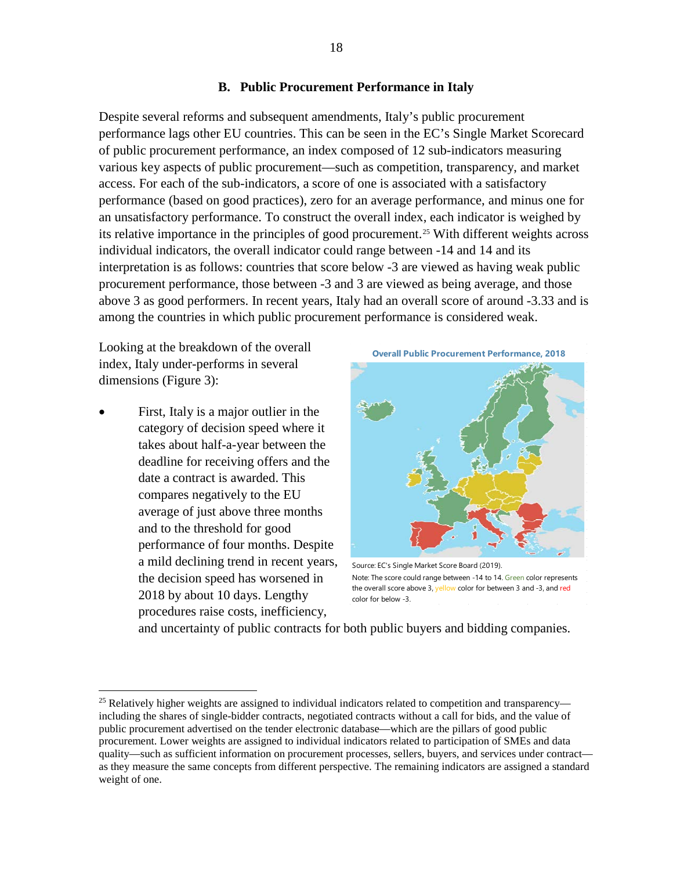#### **B. Public Procurement Performance in Italy**

Despite several reforms and subsequent amendments, Italy's public procurement performance lags other EU countries. This can be seen in the EC's Single Market Scorecard of public procurement performance, an index composed of 12 sub-indicators measuring various key aspects of public procurement—such as competition, transparency, and market access. For each of the sub-indicators, a score of one is associated with a satisfactory performance (based on good practices), zero for an average performance, and minus one for an unsatisfactory performance. To construct the overall index, each indicator is weighed by its relative importance in the principles of good procurement.<sup>[25](#page-19-0)</sup> With different weights across individual indicators, the overall indicator could range between -14 and 14 and its interpretation is as follows: countries that score below -3 are viewed as having weak public procurement performance, those between -3 and 3 are viewed as being average, and those above 3 as good performers. In recent years, Italy had an overall score of around -3.33 and is among the countries in which public procurement performance is considered weak.

Looking at the breakdown of the overall index, Italy under-performs in several dimensions (Figure 3):

• First, Italy is a major outlier in the category of decision speed where it takes about half-a-year between the deadline for receiving offers and the date a contract is awarded. This compares negatively to the EU average of just above three months and to the threshold for good performance of four months. Despite a mild declining trend in recent years, the decision speed has worsened in 2018 by about 10 days. Lengthy procedures raise costs, inefficiency,



Source: EC's Single Market Score Board (2019). Note: The score could range between -14 to 14. Green color represents the overall score above 3, yellow color for between 3 and -3, and red color for below -3.

and uncertainty of public contracts for both public buyers and bidding companies.

<span id="page-18-2"></span><span id="page-18-1"></span><span id="page-18-0"></span><sup>&</sup>lt;sup>25</sup> Relatively higher weights are assigned to individual indicators related to competition and transparency including the shares of single-bidder contracts, negotiated contracts without a call for bids, and the value of public procurement advertised on the tender electronic database—which are the pillars of good public procurement. Lower weights are assigned to individual indicators related to participation of SMEs and data quality—such as sufficient information on procurement processes, sellers, buyers, and services under contract as they measure the same concepts from different perspective. The remaining indicators are assigned a standard weight of one.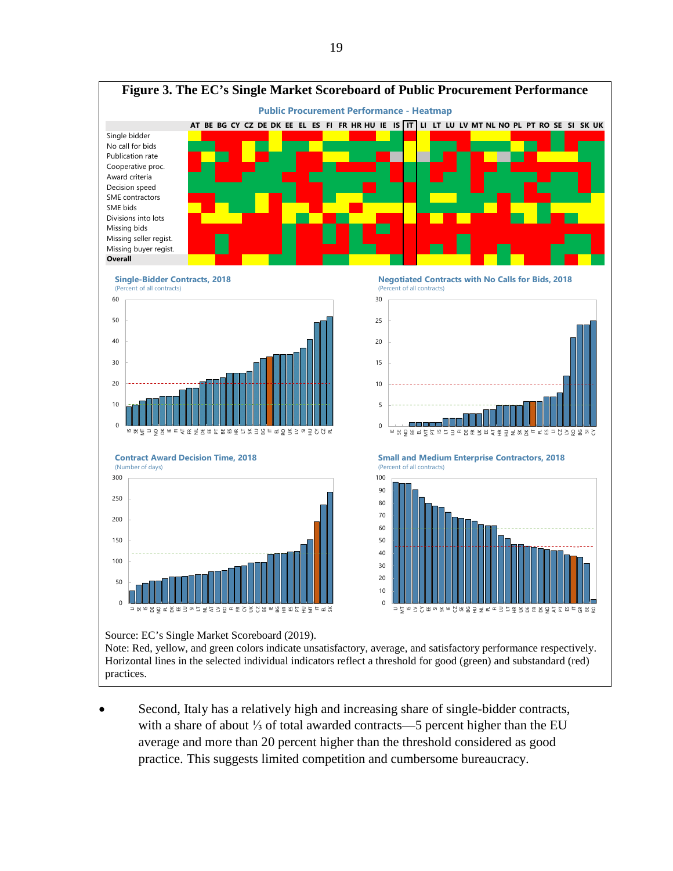

Note: Red, yellow, and green colors indicate unsatisfactory, average, and satisfactory performance respectively. Horizontal lines in the selected individual indicators reflect a threshold for good (green) and substandard (red) practices.

<span id="page-19-0"></span>Second, Italy has a relatively high and increasing share of single-bidder contracts, with a share of about ⅓ of total awarded contracts—5 percent higher than the EU average and more than 20 percent higher than the threshold considered as good practice. This suggests limited competition and cumbersome bureaucracy.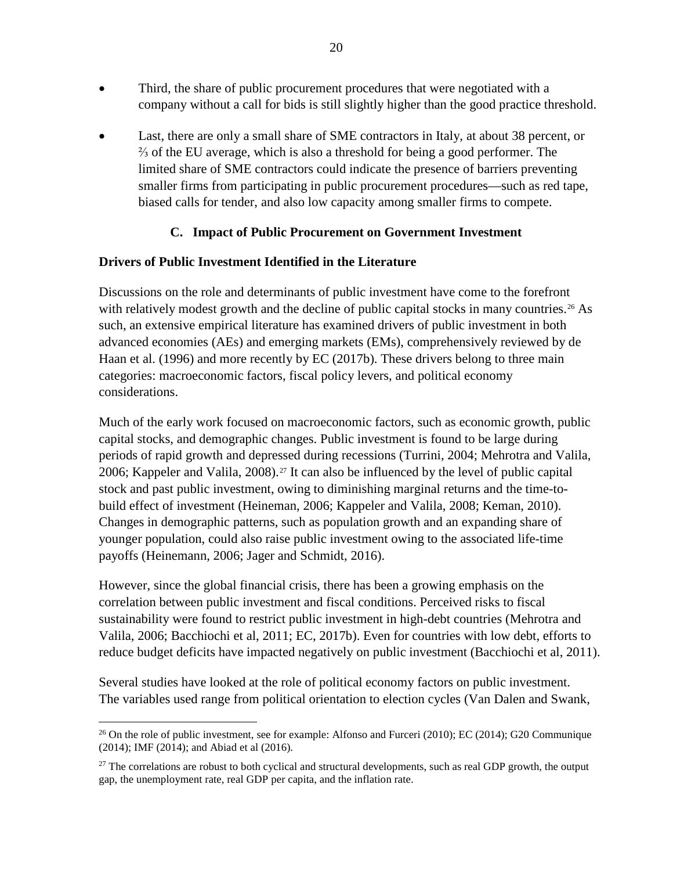- Third, the share of public procurement procedures that were negotiated with a company without a call for bids is still slightly higher than the good practice threshold.
- Last, there are only a small share of SME contractors in Italy, at about 38 percent, or ⅔ of the EU average, which is also a threshold for being a good performer. The limited share of SME contractors could indicate the presence of barriers preventing smaller firms from participating in public procurement procedures—such as red tape, biased calls for tender, and also low capacity among smaller firms to compete.

# **C. Impact of Public Procurement on Government Investment**

# **Drivers of Public Investment Identified in the Literature**

Discussions on the role and determinants of public investment have come to the forefront with relatively modest growth and the decline of public capital stocks in many countries.<sup>[26](#page-21-0)</sup> As such, an extensive empirical literature has examined drivers of public investment in both advanced economies (AEs) and emerging markets (EMs), comprehensively reviewed by de Haan et al. (1996) and more recently by EC (2017b). These drivers belong to three main categories: macroeconomic factors, fiscal policy levers, and political economy considerations.

Much of the early work focused on macroeconomic factors, such as economic growth, public capital stocks, and demographic changes. Public investment is found to be large during periods of rapid growth and depressed during recessions (Turrini, 2004; Mehrotra and Valila, 2006; Kappeler and Valila, 2008).<sup>[27](#page-21-1)</sup> It can also be influenced by the level of public capital stock and past public investment, owing to diminishing marginal returns and the time-tobuild effect of investment (Heineman, 2006; Kappeler and Valila, 2008; Keman, 2010). Changes in demographic patterns, such as population growth and an expanding share of younger population, could also raise public investment owing to the associated life-time payoffs (Heinemann, 2006; Jager and Schmidt, 2016).

However, since the global financial crisis, there has been a growing emphasis on the correlation between public investment and fiscal conditions. Perceived risks to fiscal sustainability were found to restrict public investment in high-debt countries (Mehrotra and Valila, 2006; Bacchiochi et al, 2011; EC, 2017b). Even for countries with low debt, efforts to reduce budget deficits have impacted negatively on public investment (Bacchiochi et al, 2011).

Several studies have looked at the role of political economy factors on public investment. The variables used range from political orientation to election cycles (Van Dalen and Swank,

<sup>&</sup>lt;sup>26</sup> On the role of public investment, see for example: Alfonso and Furceri (2010); EC (2014); G20 Communique (2014); IMF (2014); and Abiad et al (2016).

 $27$  The correlations are robust to both cyclical and structural developments, such as real GDP growth, the output gap, the unemployment rate, real GDP per capita, and the inflation rate.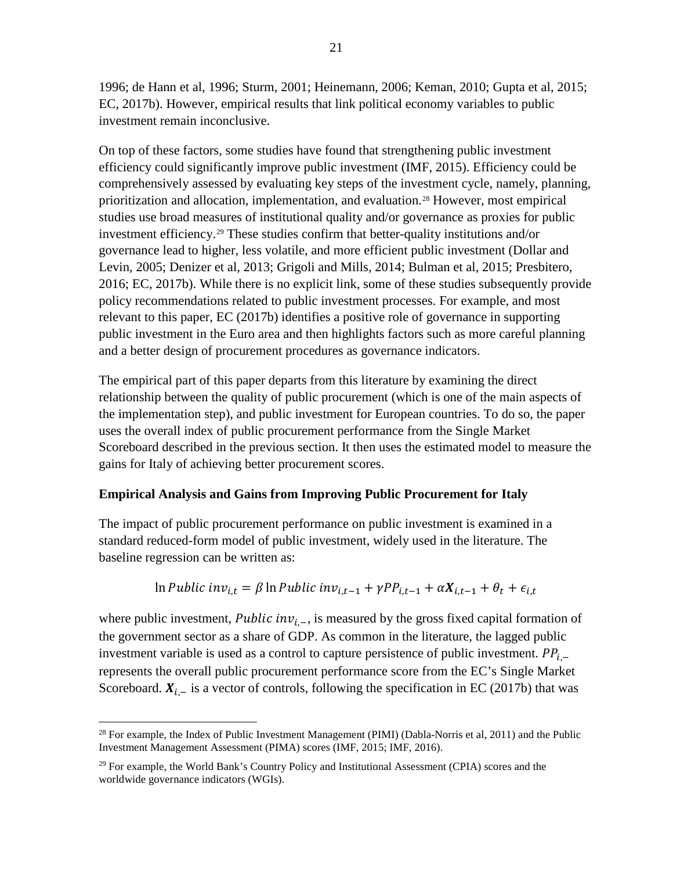1996; de Hann et al, 1996; Sturm, 2001; Heinemann, 2006; Keman, 2010; Gupta et al, 2015; EC, 2017b). However, empirical results that link political economy variables to public investment remain inconclusive.

On top of these factors, some studies have found that strengthening public investment efficiency could significantly improve public investment (IMF, 2015). Efficiency could be comprehensively assessed by evaluating key steps of the investment cycle, namely, planning, prioritization and allocation, implementation, and evaluation.[28](#page-22-0) However, most empirical studies use broad measures of institutional quality and/or governance as proxies for public investment efficiency.[29](#page-22-1) These studies confirm that better-quality institutions and/or governance lead to higher, less volatile, and more efficient public investment (Dollar and Levin, 2005; Denizer et al, 2013; Grigoli and Mills, 2014; Bulman et al, 2015; Presbitero, 2016; EC, 2017b). While there is no explicit link, some of these studies subsequently provide policy recommendations related to public investment processes. For example, and most relevant to this paper, EC (2017b) identifies a positive role of governance in supporting public investment in the Euro area and then highlights factors such as more careful planning and a better design of procurement procedures as governance indicators.

The empirical part of this paper departs from this literature by examining the direct relationship between the quality of public procurement (which is one of the main aspects of the implementation step), and public investment for European countries. To do so, the paper uses the overall index of public procurement performance from the Single Market Scoreboard described in the previous section. It then uses the estimated model to measure the gains for Italy of achieving better procurement scores.

# **Empirical Analysis and Gains from Improving Public Procurement for Italy**

The impact of public procurement performance on public investment is examined in a standard reduced-form model of public investment, widely used in the literature. The baseline regression can be written as:

$$
\ln \text{Public inv}_{i,t} = \beta \ln \text{Public inv}_{i,t-1} + \gamma \text{PP}_{i,t-1} + \alpha X_{i,t-1} + \theta_t + \epsilon_{i,t}
$$

where public investment, Public inv<sub>i-</sub>, is measured by the gross fixed capital formation of the government sector as a share of GDP. As common in the literature, the lagged public investment variable is used as a control to capture persistence of public investment.  $PP_i$  – represents the overall public procurement performance score from the EC's Single Market Scoreboard.  $X_{i,-}$  is a vector of controls, following the specification in EC (2017b) that was

<span id="page-21-0"></span><sup>&</sup>lt;sup>28</sup> For example, the Index of Public Investment Management (PIMI) (Dabla-Norris et al, 2011) and the Public Investment Management Assessment (PIMA) scores (IMF, 2015; IMF, 2016).

<span id="page-21-1"></span> $29$  For example, the World Bank's Country Policy and Institutional Assessment (CPIA) scores and the worldwide governance indicators (WGIs).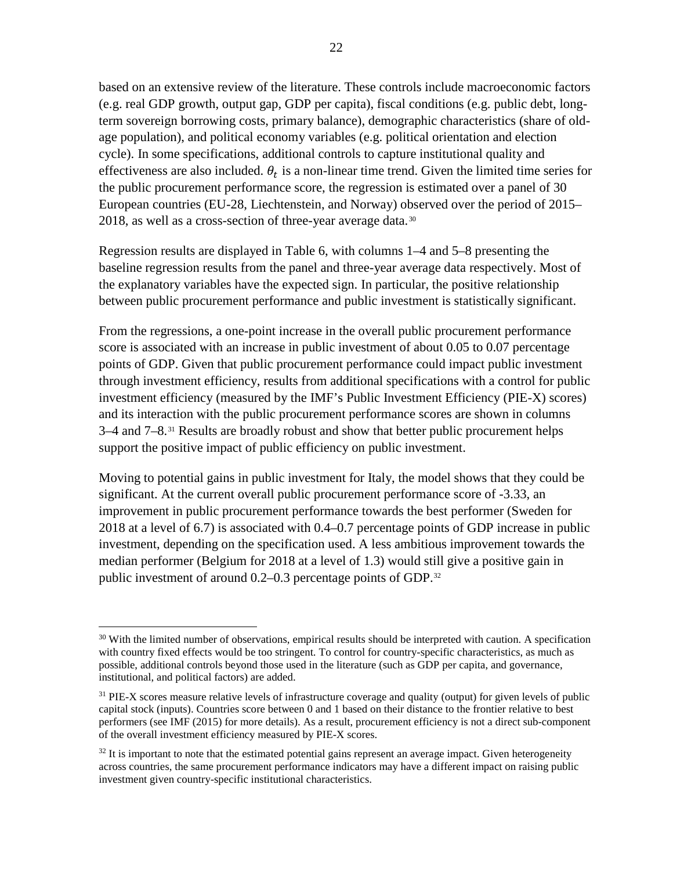based on an extensive review of the literature. These controls include macroeconomic factors (e.g. real GDP growth, output gap, GDP per capita), fiscal conditions (e.g. public debt, longterm sovereign borrowing costs, primary balance), demographic characteristics (share of oldage population), and political economy variables (e.g. political orientation and election cycle). In some specifications, additional controls to capture institutional quality and effectiveness are also included.  $\theta_t$  is a non-linear time trend. Given the limited time series for the public procurement performance score, the regression is estimated over a panel of 30 European countries (EU-28, Liechtenstein, and Norway) observed over the period of 2015– 2018, as well as a cross-section of three-year average data.<sup>[30](#page-23-0)</sup>

Regression results are displayed in Table 6, with columns 1–4 and 5–8 presenting the baseline regression results from the panel and three-year average data respectively. Most of the explanatory variables have the expected sign. In particular, the positive relationship between public procurement performance and public investment is statistically significant.

From the regressions, a one-point increase in the overall public procurement performance score is associated with an increase in public investment of about 0.05 to 0.07 percentage points of GDP. Given that public procurement performance could impact public investment through investment efficiency, results from additional specifications with a control for public investment efficiency (measured by the IMF's Public Investment Efficiency (PIE-X) scores) and its interaction with the public procurement performance scores are shown in columns 3–4 and 7–8.<sup>[31](#page-23-1)</sup> Results are broadly robust and show that better public procurement helps support the positive impact of public efficiency on public investment.

Moving to potential gains in public investment for Italy, the model shows that they could be significant. At the current overall public procurement performance score of -3.33, an improvement in public procurement performance towards the best performer (Sweden for 2018 at a level of 6.7) is associated with 0.4–0.7 percentage points of GDP increase in public investment, depending on the specification used. A less ambitious improvement towards the median performer (Belgium for 2018 at a level of 1.3) would still give a positive gain in public investment of around 0.2–0.3 percentage points of GDP.<sup>[32](#page-23-2)</sup>

 $30$  With the limited number of observations, empirical results should be interpreted with caution. A specification with country fixed effects would be too stringent. To control for country-specific characteristics, as much as possible, additional controls beyond those used in the literature (such as GDP per capita, and governance, institutional, and political factors) are added.

<sup>&</sup>lt;sup>31</sup> PIE-X scores measure relative levels of infrastructure coverage and quality (output) for given levels of public capital stock (inputs). Countries score between 0 and 1 based on their distance to the frontier relative to best performers (see IMF (2015) for more details). As a result, procurement efficiency is not a direct sub-component of the overall investment efficiency measured by PIE-X scores.

<span id="page-22-1"></span><span id="page-22-0"></span> $32$  It is important to note that the estimated potential gains represent an average impact. Given heterogeneity across countries, the same procurement performance indicators may have a different impact on raising public investment given country-specific institutional characteristics.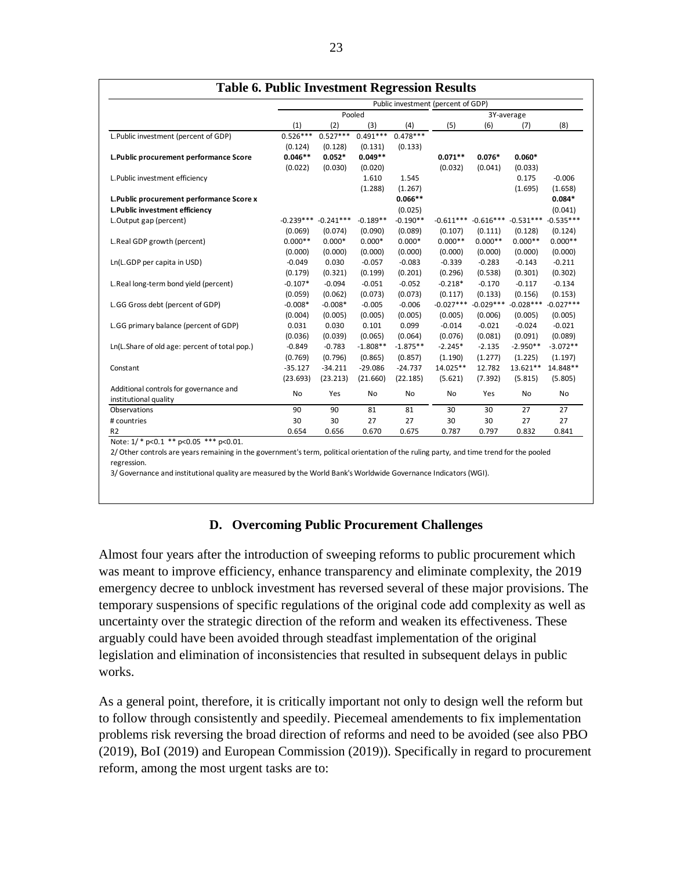|                                               | Public investment (percent of GDP) |             |            |            |             |             |             |             |
|-----------------------------------------------|------------------------------------|-------------|------------|------------|-------------|-------------|-------------|-------------|
|                                               | Pooled                             |             |            |            | 3Y-average  |             |             |             |
|                                               | (1)                                | (2)         | (3)        | (4)        | (5)         | (6)         | (7)         | (8)         |
| L.Public investment (percent of GDP)          | $0.526***$                         | $0.527***$  | $0.491***$ | $0.478***$ |             |             |             |             |
|                                               | (0.124)                            | (0.128)     | (0.131)    | (0.133)    |             |             |             |             |
| L.Public procurement performance Score        | $0.046**$                          | $0.052*$    | $0.049**$  |            | $0.071**$   | $0.076*$    | $0.060*$    |             |
|                                               | (0.022)                            | (0.030)     | (0.020)    |            | (0.032)     | (0.041)     | (0.033)     |             |
| L. Public investment efficiency               |                                    |             | 1.610      | 1.545      |             |             | 0.175       | $-0.006$    |
|                                               |                                    |             | (1.288)    | (1.267)    |             |             | (1.695)     | (1.658)     |
| L. Public procurement performance Score x     |                                    |             |            | $0.066**$  |             |             |             | $0.084*$    |
| L.Public investment efficiency                |                                    |             |            | (0.025)    |             |             |             | (0.041)     |
| L.Output gap (percent)                        | $-0.239***$                        | $-0.241***$ | $-0.189**$ | $-0.190**$ | $-0.611***$ | $-0.616***$ | $-0.531***$ | $-0.535***$ |
|                                               | (0.069)                            | (0.074)     | (0.090)    | (0.089)    | (0.107)     | (0.111)     | (0.128)     | (0.124)     |
| L.Real GDP growth (percent)                   | $0.000**$                          | $0.000*$    | $0.000*$   | $0.000*$   | $0.000**$   | $0.000**$   | $0.000**$   | $0.000**$   |
|                                               | (0.000)                            | (0.000)     | (0.000)    | (0.000)    | (0.000)     | (0.000)     | (0.000)     | (0.000)     |
| Ln(L.GDP per capita in USD)                   | $-0.049$                           | 0.030       | $-0.057$   | $-0.083$   | $-0.339$    | $-0.283$    | $-0.143$    | $-0.211$    |
|                                               | (0.179)                            | (0.321)     | (0.199)    | (0.201)    | (0.296)     | (0.538)     | (0.301)     | (0.302)     |
| L.Real long-term bond yield (percent)         | $-0.107*$                          | $-0.094$    | $-0.051$   | $-0.052$   | $-0.218*$   | $-0.170$    | $-0.117$    | $-0.134$    |
|                                               | (0.059)                            | (0.062)     | (0.073)    | (0.073)    | (0.117)     | (0.133)     | (0.156)     | (0.153)     |
| L.GG Gross debt (percent of GDP)              | $-0.008*$                          | $-0.008*$   | $-0.005$   | $-0.006$   | $-0.027***$ | $-0.029***$ | $-0.028***$ | $-0.027***$ |
|                                               | (0.004)                            | (0.005)     | (0.005)    | (0.005)    | (0.005)     | (0.006)     | (0.005)     | (0.005)     |
| L.GG primary balance (percent of GDP)         | 0.031                              | 0.030       | 0.101      | 0.099      | $-0.014$    | $-0.021$    | $-0.024$    | $-0.021$    |
|                                               | (0.036)                            | (0.039)     | (0.065)    | (0.064)    | (0.076)     | (0.081)     | (0.091)     | (0.089)     |
| Ln(L.Share of old age: percent of total pop.) | $-0.849$                           | $-0.783$    | $-1.808**$ | $-1.875**$ | $-2.245*$   | $-2.135$    | $-2.950**$  | $-3.072**$  |
|                                               | (0.769)                            | (0.796)     | (0.865)    | (0.857)    | (1.190)     | (1.277)     | (1.225)     | (1.197)     |
| Constant                                      | $-35.127$                          | $-34.211$   | $-29.086$  | $-24.737$  | 14.025**    | 12.782      | 13.621**    | 14.848**    |
|                                               | (23.693)                           | (23.213)    | (21.660)   | (22.185)   | (5.621)     | (7.392)     | (5.815)     | (5.805)     |
| Additional controls for governance and        |                                    |             |            |            |             |             |             |             |
| institutional quality                         | No                                 | Yes         | No         | No         | No          | Yes         | No          | No          |
| Observations                                  | 90                                 | 90          | 81         | 81         | 30          | 30          | 27          | 27          |
| # countries                                   | 30                                 | 30          | 27         | 27         | 30          | 30          | 27          | 27          |
| R <sub>2</sub>                                | 0.654                              | 0.656       | 0.670      | 0.675      | 0.787       | 0.797       | 0.832       | 0.841       |

**Table 6. Public Investment Regression Results**

Note:  $1$ / \* p<0.1 \*\* p<0.05 \*\*\* p<0.01.

2/ Other controls are years remaining in the government's term, political orientation of the ruling party, and time trend for the pooled regression.

3/ Governance and institutional quality are measured by the World Bank's Worldwide Governance Indicators (WGI).

## **D. Overcoming Public Procurement Challenges**

Almost four years after the introduction of sweeping reforms to public procurement which was meant to improve efficiency, enhance transparency and eliminate complexity, the 2019 emergency decree to unblock investment has reversed several of these major provisions. The temporary suspensions of specific regulations of the original code add complexity as well as uncertainty over the strategic direction of the reform and weaken its effectiveness. These arguably could have been avoided through steadfast implementation of the original legislation and elimination of inconsistencies that resulted in subsequent delays in public works.

<span id="page-23-2"></span><span id="page-23-1"></span><span id="page-23-0"></span>As a general point, therefore, it is critically important not only to design well the reform but to follow through consistently and speedily. Piecemeal amendements to fix implementation problems risk reversing the broad direction of reforms and need to be avoided (see also PBO (2019), BoI (2019) and European Commission (2019)). Specifically in regard to procurement reform, among the most urgent tasks are to: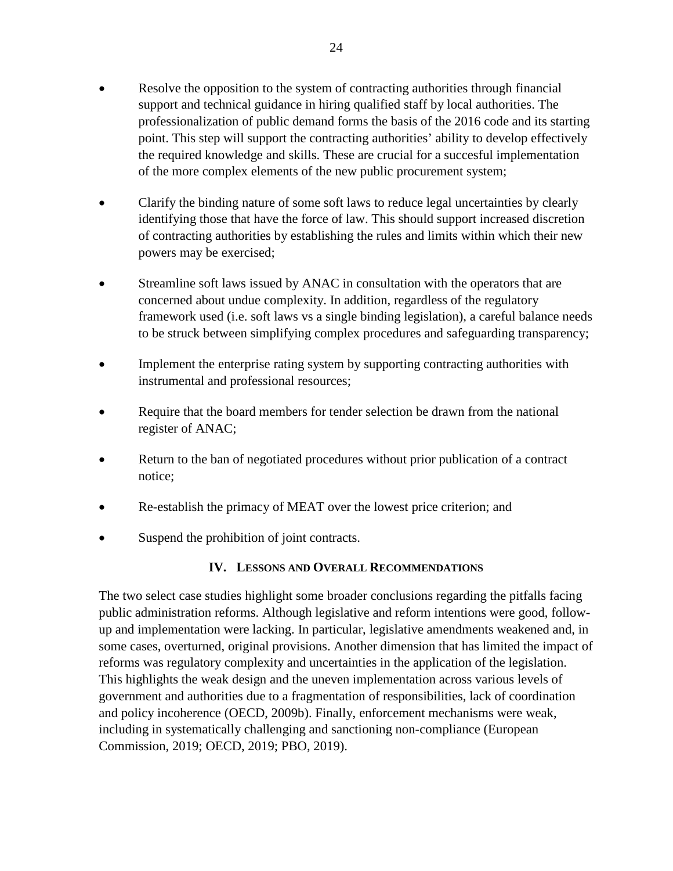- Resolve the opposition to the system of contracting authorities through financial support and technical guidance in hiring qualified staff by local authorities. The professionalization of public demand forms the basis of the 2016 code and its starting point. This step will support the contracting authorities' ability to develop effectively the required knowledge and skills. These are crucial for a succesful implementation of the more complex elements of the new public procurement system;
- Clarify the binding nature of some soft laws to reduce legal uncertainties by clearly identifying those that have the force of law. This should support increased discretion of contracting authorities by establishing the rules and limits within which their new powers may be exercised;
- Streamline soft laws issued by ANAC in consultation with the operators that are concerned about undue complexity. In addition, regardless of the regulatory framework used (i.e. soft laws vs a single binding legislation), a careful balance needs to be struck between simplifying complex procedures and safeguarding transparency;
- Implement the enterprise rating system by supporting contracting authorities with instrumental and professional resources;
- Require that the board members for tender selection be drawn from the national register of ANAC;
- Return to the ban of negotiated procedures without prior publication of a contract notice;
- Re-establish the primacy of MEAT over the lowest price criterion; and
- Suspend the prohibition of joint contracts.

# **IV. LESSONS AND OVERALL RECOMMENDATIONS**

The two select case studies highlight some broader conclusions regarding the pitfalls facing public administration reforms. Although legislative and reform intentions were good, followup and implementation were lacking. In particular, legislative amendments weakened and, in some cases, overturned, original provisions. Another dimension that has limited the impact of reforms was regulatory complexity and uncertainties in the application of the legislation. This highlights the weak design and the uneven implementation across various levels of government and authorities due to a fragmentation of responsibilities, lack of coordination and policy incoherence (OECD, 2009b). Finally, enforcement mechanisms were weak, including in systematically challenging and sanctioning non-compliance (European Commission, 2019; OECD, 2019; PBO, 2019).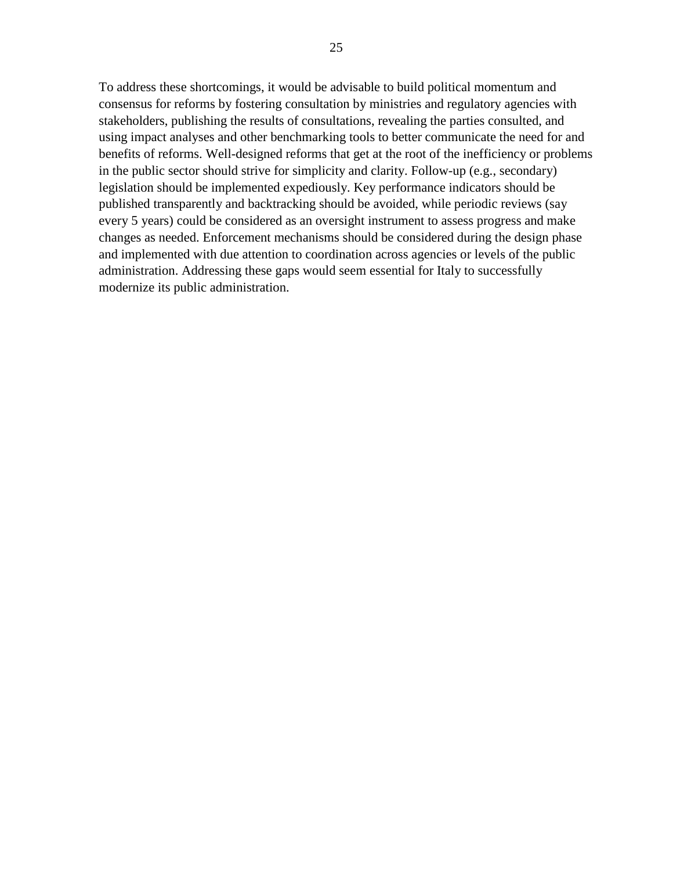To address these shortcomings, it would be advisable to build political momentum and consensus for reforms by fostering consultation by ministries and regulatory agencies with stakeholders, publishing the results of consultations, revealing the parties consulted, and using impact analyses and other benchmarking tools to better communicate the need for and benefits of reforms. Well-designed reforms that get at the root of the inefficiency or problems in the public sector should strive for simplicity and clarity. Follow-up (e.g., secondary) legislation should be implemented expediously. Key performance indicators should be published transparently and backtracking should be avoided, while periodic reviews (say every 5 years) could be considered as an oversight instrument to assess progress and make changes as needed. Enforcement mechanisms should be considered during the design phase and implemented with due attention to coordination across agencies or levels of the public administration. Addressing these gaps would seem essential for Italy to successfully modernize its public administration.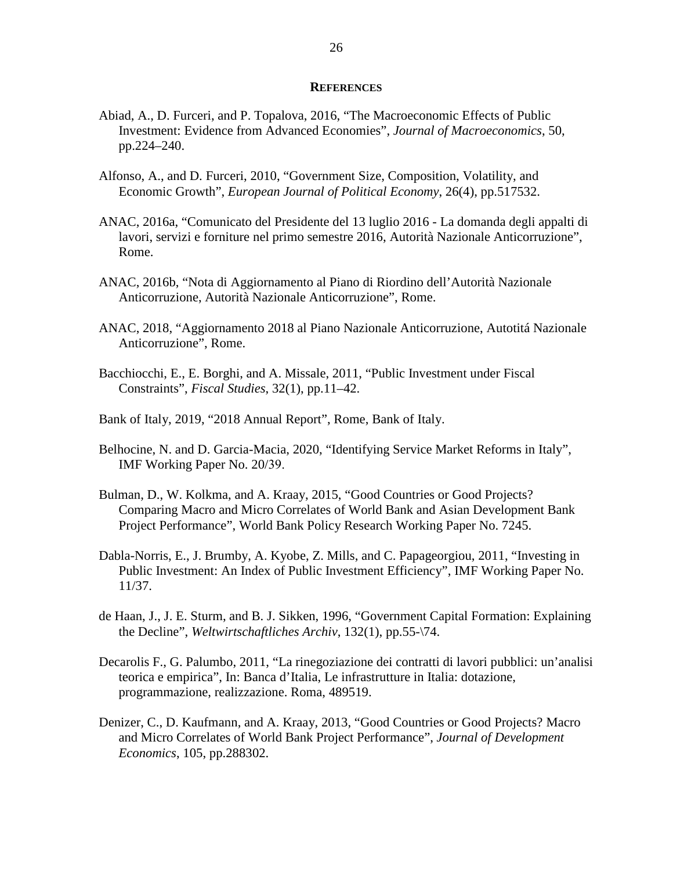#### **REFERENCES**

- Abiad, A., D. Furceri, and P. Topalova, 2016, "The Macroeconomic Effects of Public Investment: Evidence from Advanced Economies", *Journal of Macroeconomics*, 50, pp.224–240.
- Alfonso, A., and D. Furceri, 2010, "Government Size, Composition, Volatility, and Economic Growth", *European Journal of Political Economy*, 26(4), pp.517532.
- ANAC, 2016a, "Comunicato del Presidente del 13 luglio 2016 La domanda degli appalti di lavori, servizi e forniture nel primo semestre 2016, Autorità Nazionale Anticorruzione", Rome.
- ANAC, 2016b, "Nota di Aggiornamento al Piano di Riordino dell'Autorità Nazionale Anticorruzione, Autorità Nazionale Anticorruzione", Rome.
- ANAC, 2018, "Aggiornamento 2018 al Piano Nazionale Anticorruzione, Autotitá Nazionale Anticorruzione", Rome.
- Bacchiocchi, E., E. Borghi, and A. Missale, 2011, "Public Investment under Fiscal Constraints", *Fiscal Studies*, 32(1), pp.11–42.
- Bank of Italy, 2019, "2018 Annual Report", Rome, Bank of Italy.
- Belhocine, N. and D. Garcia-Macia, 2020, "Identifying Service Market Reforms in Italy", IMF Working Paper No. 20/39.
- Bulman, D., W. Kolkma, and A. Kraay, 2015, "Good Countries or Good Projects? Comparing Macro and Micro Correlates of World Bank and Asian Development Bank Project Performance", World Bank Policy Research Working Paper No. 7245.
- Dabla-Norris, E., J. Brumby, A. Kyobe, Z. Mills, and C. Papageorgiou, 2011, "Investing in Public Investment: An Index of Public Investment Efficiency", IMF Working Paper No. 11/37.
- de Haan, J., J. E. Sturm, and B. J. Sikken, 1996, "Government Capital Formation: Explaining the Decline", *Weltwirtschaftliches Archiv*, 132(1), pp.55-\74.
- Decarolis F., G. Palumbo, 2011, "La rinegoziazione dei contratti di lavori pubblici: un'analisi teorica e empirica", In: Banca d'Italia, Le infrastrutture in Italia: dotazione, programmazione, realizzazione. Roma, 489519.
- Denizer, C., D. Kaufmann, and A. Kraay, 2013, "Good Countries or Good Projects? Macro and Micro Correlates of World Bank Project Performance", *Journal of Development Economics*, 105, pp.288302.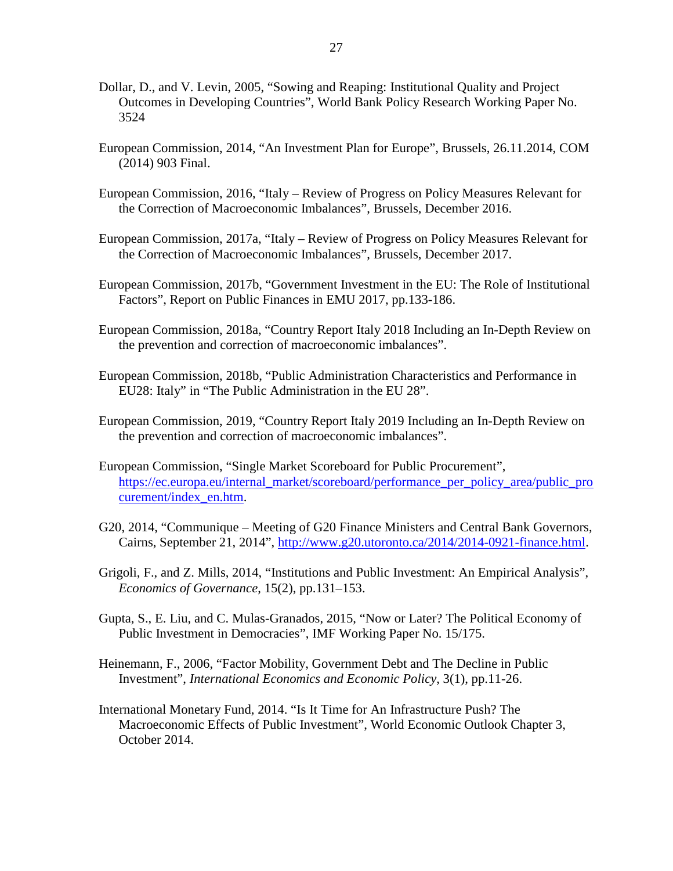- Dollar, D., and V. Levin, 2005, "Sowing and Reaping: Institutional Quality and Project Outcomes in Developing Countries", World Bank Policy Research Working Paper No. 3524
- European Commission, 2014, "An Investment Plan for Europe", Brussels, 26.11.2014, COM (2014) 903 Final.
- European Commission, 2016, "Italy Review of Progress on Policy Measures Relevant for the Correction of Macroeconomic Imbalances", Brussels, December 2016.
- European Commission, 2017a, "Italy Review of Progress on Policy Measures Relevant for the Correction of Macroeconomic Imbalances", Brussels, December 2017.
- European Commission, 2017b, "Government Investment in the EU: The Role of Institutional Factors", Report on Public Finances in EMU 2017, pp.133-186.
- European Commission, 2018a, "Country Report Italy 2018 Including an In-Depth Review on the prevention and correction of macroeconomic imbalances".
- European Commission, 2018b, "Public Administration Characteristics and Performance in EU28: Italy" in "The Public Administration in the EU 28".
- European Commission, 2019, "Country Report Italy 2019 Including an In-Depth Review on the prevention and correction of macroeconomic imbalances".
- European Commission, "Single Market Scoreboard for Public Procurement", [https://ec.europa.eu/internal\\_market/scoreboard/performance\\_per\\_policy\\_area/public\\_pro](https://ec.europa.eu/internal_market/scoreboard/performance_per_policy_area/public_procurement/index_en.htm) [curement/index\\_en.htm.](https://ec.europa.eu/internal_market/scoreboard/performance_per_policy_area/public_procurement/index_en.htm)
- G20, 2014, "Communique Meeting of G20 Finance Ministers and Central Bank Governors, Cairns, September 21, 2014", [http://www.g20.utoronto.ca/2014/2014-0921-finance.html.](http://www.g20.utoronto.ca/2014/2014-0921-finance.html)
- Grigoli, F., and Z. Mills, 2014, "Institutions and Public Investment: An Empirical Analysis", *Economics of Governance*, 15(2), pp.131–153.
- Gupta, S., E. Liu, and C. Mulas-Granados, 2015, "Now or Later? The Political Economy of Public Investment in Democracies", IMF Working Paper No. 15/175.
- Heinemann, F., 2006, "Factor Mobility, Government Debt and The Decline in Public Investment", *International Economics and Economic Policy*, 3(1), pp.11-26.
- International Monetary Fund, 2014. "Is It Time for An Infrastructure Push? The Macroeconomic Effects of Public Investment", World Economic Outlook Chapter 3, October 2014.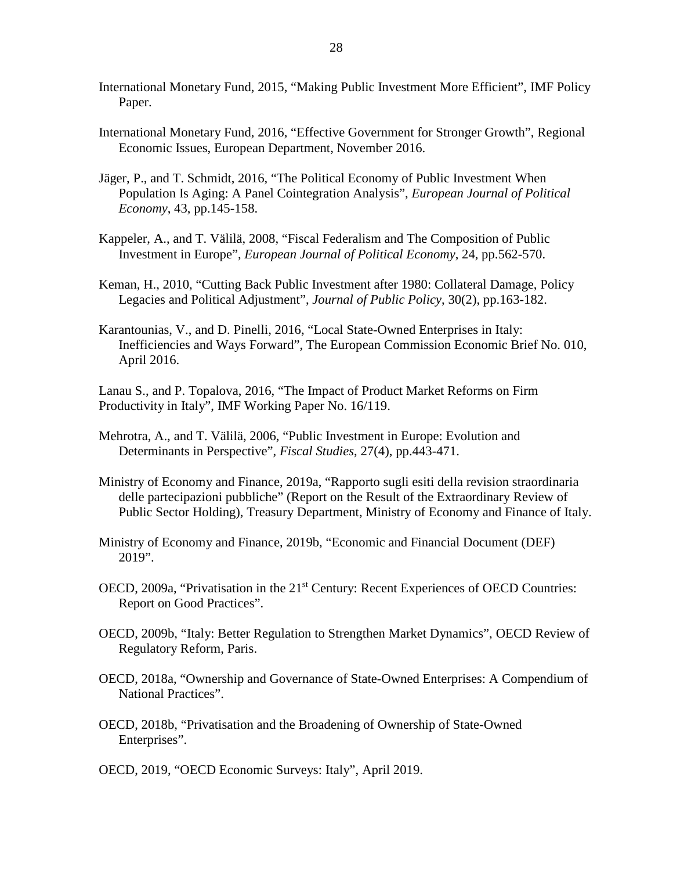- International Monetary Fund, 2015, "Making Public Investment More Efficient", IMF Policy Paper.
- International Monetary Fund, 2016, "Effective Government for Stronger Growth", Regional Economic Issues, European Department, November 2016.
- Jäger, P., and T. Schmidt, 2016, "The Political Economy of Public Investment When Population Is Aging: A Panel Cointegration Analysis", *European Journal of Political Economy*, 43, pp.145-158.
- Kappeler, A., and T. Välilä, 2008, "Fiscal Federalism and The Composition of Public Investment in Europe", *European Journal of Political Economy*, 24, pp.562-570.
- Keman, H., 2010, "Cutting Back Public Investment after 1980: Collateral Damage, Policy Legacies and Political Adjustment", *Journal of Public Policy*, 30(2), pp.163-182.
- Karantounias, V., and D. Pinelli, 2016, "Local State-Owned Enterprises in Italy: Inefficiencies and Ways Forward", The European Commission Economic Brief No. 010, April 2016.

Lanau S., and P. Topalova, 2016, "The Impact of Product Market Reforms on Firm Productivity in Italy", IMF Working Paper No. 16/119.

- Mehrotra, A., and T. Välilä, 2006, "Public Investment in Europe: Evolution and Determinants in Perspective", *Fiscal Studies*, 27(4), pp.443-471.
- Ministry of Economy and Finance, 2019a, "Rapporto sugli esiti della revision straordinaria delle partecipazioni pubbliche" (Report on the Result of the Extraordinary Review of Public Sector Holding), Treasury Department, Ministry of Economy and Finance of Italy.
- Ministry of Economy and Finance, 2019b, "Economic and Financial Document (DEF) 2019".
- OECD, 2009a, "Privatisation in the 21<sup>st</sup> Century: Recent Experiences of OECD Countries: Report on Good Practices".
- OECD, 2009b, "Italy: Better Regulation to Strengthen Market Dynamics", OECD Review of Regulatory Reform, Paris.
- OECD, 2018a, "Ownership and Governance of State-Owned Enterprises: A Compendium of National Practices".
- OECD, 2018b, "Privatisation and the Broadening of Ownership of State-Owned Enterprises".
- OECD, 2019, "OECD Economic Surveys: Italy", April 2019.